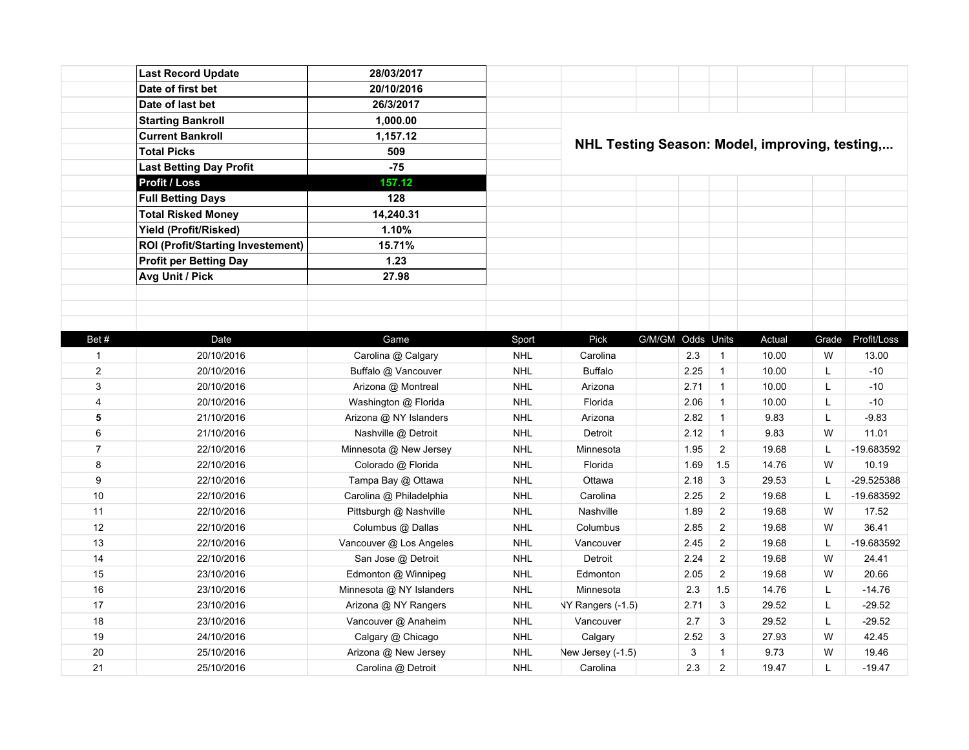|                | <b>Last Record Update</b>                | 28/03/2017               |            |                                                |                   |      |                         |        |       |             |
|----------------|------------------------------------------|--------------------------|------------|------------------------------------------------|-------------------|------|-------------------------|--------|-------|-------------|
|                | Date of first bet                        | 20/10/2016               |            |                                                |                   |      |                         |        |       |             |
|                | Date of last bet                         | 26/3/2017                |            |                                                |                   |      |                         |        |       |             |
|                | <b>Starting Bankroll</b>                 | 1,000.00                 |            |                                                |                   |      |                         |        |       |             |
|                | <b>Current Bankroll</b>                  | 1,157.12                 |            |                                                |                   |      |                         |        |       |             |
|                | <b>Total Picks</b>                       | 509                      |            | NHL Testing Season: Model, improving, testing, |                   |      |                         |        |       |             |
|                | <b>Last Betting Day Profit</b>           | $-75$                    |            |                                                |                   |      |                         |        |       |             |
|                | Profit / Loss                            | 157.12                   |            |                                                |                   |      |                         |        |       |             |
|                | <b>Full Betting Days</b>                 | 128                      |            |                                                |                   |      |                         |        |       |             |
|                | <b>Total Risked Money</b>                | 14,240.31                |            |                                                |                   |      |                         |        |       |             |
|                | Yield (Profit/Risked)                    | 1.10%                    |            |                                                |                   |      |                         |        |       |             |
|                | <b>ROI (Profit/Starting Investement)</b> | 15.71%                   |            |                                                |                   |      |                         |        |       |             |
|                | <b>Profit per Betting Day</b>            | 1.23                     |            |                                                |                   |      |                         |        |       |             |
|                | Avg Unit / Pick                          | 27.98                    |            |                                                |                   |      |                         |        |       |             |
|                |                                          |                          |            |                                                |                   |      |                         |        |       |             |
|                |                                          |                          |            |                                                |                   |      |                         |        |       |             |
|                |                                          |                          |            |                                                |                   |      |                         |        |       |             |
| Bet#           | Date                                     | Game                     | Sport      | Pick                                           | G/M/GM Odds Units |      |                         | Actual | Grade | Profit/Loss |
| $\mathbf{1}$   | 20/10/2016                               | Carolina @ Calgary       | <b>NHL</b> | Carolina                                       |                   | 2.3  | $\mathbf{1}$            | 10.00  | W     | 13.00       |
| $\overline{2}$ | 20/10/2016                               | Buffalo @ Vancouver      | <b>NHL</b> | <b>Buffalo</b>                                 |                   | 2.25 | $\mathbf{1}$            | 10.00  | L     | $-10$       |
| 3              | 20/10/2016                               | Arizona @ Montreal       | <b>NHL</b> | Arizona                                        |                   | 2.71 | $\overline{1}$          | 10.00  | L     | $-10$       |
| $\overline{4}$ | 20/10/2016                               | Washington @ Florida     | <b>NHL</b> | Florida                                        |                   | 2.06 | $\mathbf{1}$            | 10.00  | Г     | $-10$       |
| 5              | 21/10/2016                               | Arizona @ NY Islanders   | <b>NHL</b> | Arizona                                        |                   | 2.82 | $\mathbf{1}$            | 9.83   | L     | $-9.83$     |
| 6              | 21/10/2016                               | Nashville @ Detroit      | <b>NHL</b> | Detroit                                        |                   | 2.12 | $\mathbf{1}$            | 9.83   | W     | 11.01       |
| $\overline{7}$ | 22/10/2016                               | Minnesota @ New Jersey   | <b>NHL</b> | Minnesota                                      |                   | 1.95 | $\overline{2}$          | 19.68  | L     | -19.683592  |
| 8              | 22/10/2016                               | Colorado @ Florida       | <b>NHL</b> | Florida                                        |                   | 1.69 | 1.5                     | 14.76  | W     | 10.19       |
| 9              | 22/10/2016                               | Tampa Bay @ Ottawa       | <b>NHL</b> | Ottawa                                         |                   | 2.18 | $\mathbf{3}$            | 29.53  | L     | -29.525388  |
| 10             | 22/10/2016                               | Carolina @ Philadelphia  | <b>NHL</b> | Carolina                                       |                   | 2.25 | $\overline{2}$          | 19.68  | L     | -19.683592  |
| 11             | 22/10/2016                               | Pittsburgh @ Nashville   | <b>NHL</b> | Nashville                                      |                   | 1.89 | $\overline{2}$          | 19.68  | W     | 17.52       |
| 12             | 22/10/2016                               | Columbus @ Dallas        | <b>NHL</b> | Columbus                                       |                   | 2.85 | $\overline{2}$          | 19.68  | W     | 36.41       |
| 13             | 22/10/2016                               | Vancouver @ Los Angeles  | <b>NHL</b> | Vancouver                                      |                   | 2.45 | $\overline{2}$          | 19.68  | L     | -19.683592  |
| 14             | 22/10/2016                               | San Jose @ Detroit       | <b>NHL</b> | Detroit                                        |                   | 2.24 | $\overline{\mathbf{c}}$ | 19.68  | W     | 24.41       |
| 15             | 23/10/2016                               | Edmonton @ Winnipeg      | <b>NHL</b> | Edmonton                                       |                   | 2.05 | $\overline{2}$          | 19.68  | W     | 20.66       |
| 16             | 23/10/2016                               | Minnesota @ NY Islanders | <b>NHL</b> | Minnesota                                      |                   | 2.3  | 1.5                     | 14.76  | L     | $-14.76$    |
| 17             | 23/10/2016                               | Arizona @ NY Rangers     | <b>NHL</b> | NY Rangers (-1.5)                              |                   | 2.71 | 3                       | 29.52  | L     | $-29.52$    |
| 18             | 23/10/2016                               | Vancouver @ Anaheim      | <b>NHL</b> | Vancouver                                      |                   | 2.7  | 3                       | 29.52  | L     | $-29.52$    |
| 19             | 24/10/2016                               | Calgary @ Chicago        | <b>NHL</b> | Calgary                                        |                   | 2.52 | 3                       | 27.93  | W     | 42.45       |
| 20             | 25/10/2016                               | Arizona @ New Jersey     | <b>NHL</b> | New Jersey (-1.5)                              |                   | 3    | $\mathbf{1}$            | 9.73   | W     | 19.46       |
| 21             | 25/10/2016                               | Carolina @ Detroit       | <b>NHL</b> | Carolina                                       |                   | 2.3  | $\overline{2}$          | 19.47  | Г     | $-19.47$    |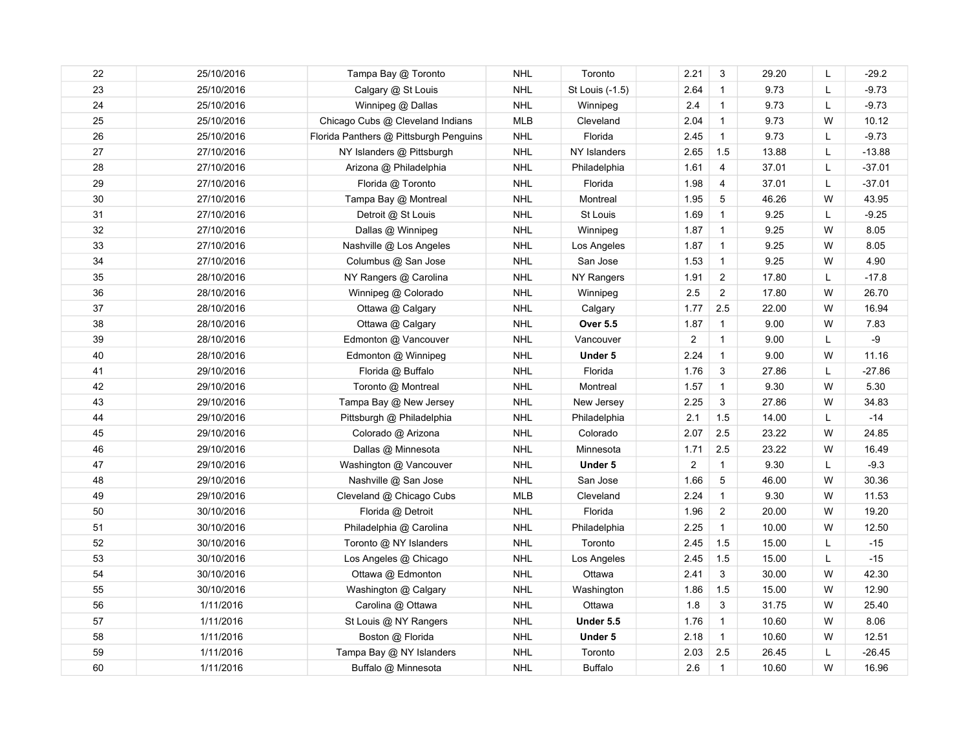| 22 | 25/10/2016 | Tampa Bay @ Toronto                    | <b>NHL</b> | Toronto         | 2.21           | 3              | 29.20 | L  | $-29.2$  |
|----|------------|----------------------------------------|------------|-----------------|----------------|----------------|-------|----|----------|
| 23 | 25/10/2016 | Calgary @ St Louis                     | <b>NHL</b> | St Louis (-1.5) | 2.64           | $\mathbf{1}$   | 9.73  | Г  | $-9.73$  |
| 24 | 25/10/2016 | Winnipeg @ Dallas                      | <b>NHL</b> | Winnipeg        | 2.4            | $\mathbf{1}$   | 9.73  | Г  | $-9.73$  |
| 25 | 25/10/2016 | Chicago Cubs @ Cleveland Indians       | <b>MLB</b> | Cleveland       | 2.04           | $\mathbf{1}$   | 9.73  | W  | 10.12    |
| 26 | 25/10/2016 | Florida Panthers @ Pittsburgh Penguins | <b>NHL</b> | Florida         | 2.45           | $\mathbf{1}$   | 9.73  | L  | $-9.73$  |
| 27 | 27/10/2016 | NY Islanders @ Pittsburgh              | <b>NHL</b> | NY Islanders    | 2.65           | 1.5            | 13.88 | Г  | $-13.88$ |
| 28 | 27/10/2016 | Arizona @ Philadelphia                 | <b>NHL</b> | Philadelphia    | 1.61           | 4              | 37.01 | L  | $-37.01$ |
| 29 | 27/10/2016 | Florida @ Toronto                      | <b>NHL</b> | Florida         | 1.98           | 4              | 37.01 | L  | $-37.01$ |
| 30 | 27/10/2016 | Tampa Bay @ Montreal                   | <b>NHL</b> | Montreal        | 1.95           | 5              | 46.26 | W  | 43.95    |
| 31 | 27/10/2016 | Detroit @ St Louis                     | <b>NHL</b> | St Louis        | 1.69           | $\mathbf{1}$   | 9.25  | L  | $-9.25$  |
| 32 | 27/10/2016 | Dallas @ Winnipeg                      | <b>NHL</b> | Winnipeg        | 1.87           | $\mathbf{1}$   | 9.25  | W  | 8.05     |
| 33 | 27/10/2016 | Nashville @ Los Angeles                | <b>NHL</b> | Los Angeles     | 1.87           | $\mathbf{1}$   | 9.25  | W  | 8.05     |
| 34 | 27/10/2016 | Columbus @ San Jose                    | <b>NHL</b> | San Jose        | 1.53           | $\mathbf{1}$   | 9.25  | W  | 4.90     |
| 35 | 28/10/2016 | NY Rangers @ Carolina                  | <b>NHL</b> | NY Rangers      | 1.91           | $\overline{2}$ | 17.80 | L  | $-17.8$  |
| 36 | 28/10/2016 | Winnipeg @ Colorado                    | <b>NHL</b> | Winnipeg        | 2.5            | $\overline{c}$ | 17.80 | W  | 26.70    |
| 37 | 28/10/2016 | Ottawa @ Calgary                       | <b>NHL</b> | Calgary         | 1.77           | 2.5            | 22.00 | W  | 16.94    |
| 38 | 28/10/2016 | Ottawa @ Calgary                       | <b>NHL</b> | <b>Over 5.5</b> | 1.87           | $\mathbf{1}$   | 9.00  | W  | 7.83     |
| 39 | 28/10/2016 | Edmonton @ Vancouver                   | <b>NHL</b> | Vancouver       | $\overline{2}$ | $\mathbf{1}$   | 9.00  | Г  | $-9$     |
| 40 | 28/10/2016 | Edmonton @ Winnipeg                    | <b>NHL</b> | Under 5         | 2.24           | $\mathbf{1}$   | 9.00  | W  | 11.16    |
| 41 | 29/10/2016 | Florida @ Buffalo                      | <b>NHL</b> | Florida         | 1.76           | 3              | 27.86 | L. | $-27.86$ |
| 42 | 29/10/2016 | Toronto @ Montreal                     | <b>NHL</b> | Montreal        | 1.57           | $\mathbf{1}$   | 9.30  | W  | 5.30     |
| 43 | 29/10/2016 | Tampa Bay @ New Jersey                 | <b>NHL</b> | New Jersey      | 2.25           | 3              | 27.86 | W  | 34.83    |
| 44 | 29/10/2016 | Pittsburgh @ Philadelphia              | <b>NHL</b> | Philadelphia    | 2.1            | 1.5            | 14.00 | L  | $-14$    |
| 45 | 29/10/2016 | Colorado @ Arizona                     | <b>NHL</b> | Colorado        | 2.07           | 2.5            | 23.22 | W  | 24.85    |
| 46 | 29/10/2016 | Dallas @ Minnesota                     | <b>NHL</b> | Minnesota       | 1.71           | 2.5            | 23.22 | W  | 16.49    |
| 47 | 29/10/2016 | Washington @ Vancouver                 | <b>NHL</b> | Under 5         | $\overline{2}$ | $\mathbf{1}$   | 9.30  | L  | $-9.3$   |
| 48 | 29/10/2016 | Nashville @ San Jose                   | <b>NHL</b> | San Jose        | 1.66           | 5              | 46.00 | W  | 30.36    |
| 49 | 29/10/2016 | Cleveland @ Chicago Cubs               | <b>MLB</b> | Cleveland       | 2.24           | $\mathbf{1}$   | 9.30  | W  | 11.53    |
| 50 | 30/10/2016 | Florida @ Detroit                      | <b>NHL</b> | Florida         | 1.96           | $\overline{2}$ | 20.00 | W  | 19.20    |
| 51 | 30/10/2016 | Philadelphia @ Carolina                | <b>NHL</b> | Philadelphia    | 2.25           | $\mathbf{1}$   | 10.00 | W  | 12.50    |
| 52 | 30/10/2016 | Toronto @ NY Islanders                 | <b>NHL</b> | Toronto         | 2.45           | 1.5            | 15.00 | Г  | $-15$    |
| 53 | 30/10/2016 | Los Angeles @ Chicago                  | <b>NHL</b> | Los Angeles     | 2.45           | 1.5            | 15.00 | L  | $-15$    |
| 54 | 30/10/2016 | Ottawa @ Edmonton                      | <b>NHL</b> | Ottawa          | 2.41           | 3              | 30.00 | W  | 42.30    |
| 55 | 30/10/2016 | Washington @ Calgary                   | <b>NHL</b> | Washington      | 1.86           | 1.5            | 15.00 | W  | 12.90    |
| 56 | 1/11/2016  | Carolina @ Ottawa                      | <b>NHL</b> | Ottawa          | 1.8            | 3              | 31.75 | W  | 25.40    |
| 57 | 1/11/2016  | St Louis @ NY Rangers                  | <b>NHL</b> | Under 5.5       | 1.76           | $\mathbf{1}$   | 10.60 | W  | 8.06     |
| 58 | 1/11/2016  | Boston @ Florida                       | <b>NHL</b> | Under 5         | 2.18           | $\mathbf{1}$   | 10.60 | W  | 12.51    |
| 59 | 1/11/2016  | Tampa Bay @ NY Islanders               | <b>NHL</b> | Toronto         | 2.03           | 2.5            | 26.45 | L  | $-26.45$ |
| 60 | 1/11/2016  | Buffalo @ Minnesota                    | <b>NHL</b> | <b>Buffalo</b>  | 2.6            | $\mathbf{1}$   | 10.60 | W  | 16.96    |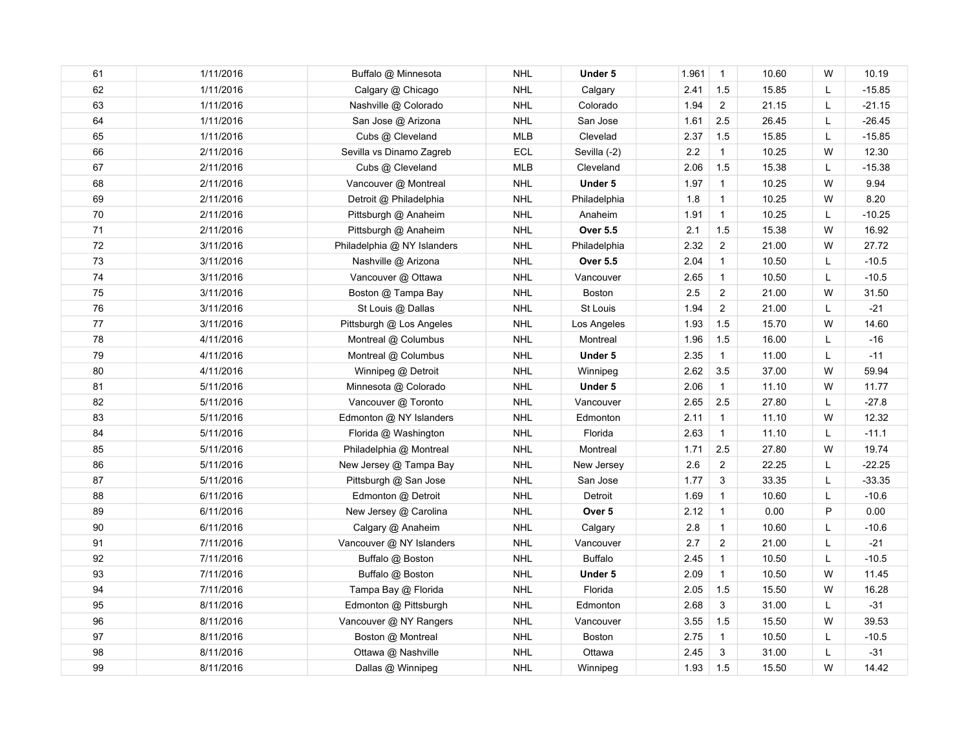| 61 | 1/11/2016 | Buffalo @ Minnesota         | <b>NHL</b> | Under 5         | 1.961   | $\overline{1}$ | 10.60 | W | 10.19    |
|----|-----------|-----------------------------|------------|-----------------|---------|----------------|-------|---|----------|
| 62 | 1/11/2016 | Calgary @ Chicago           | <b>NHL</b> | Calgary         | 2.41    | 1.5            | 15.85 | Г | $-15.85$ |
| 63 | 1/11/2016 | Nashville @ Colorado        | <b>NHL</b> | Colorado        | 1.94    | $\overline{2}$ | 21.15 | L | $-21.15$ |
| 64 | 1/11/2016 | San Jose @ Arizona          | <b>NHL</b> | San Jose        | 1.61    | 2.5            | 26.45 | Г | $-26.45$ |
| 65 | 1/11/2016 | Cubs @ Cleveland            | <b>MLB</b> | Clevelad        | 2.37    | 1.5            | 15.85 | L | $-15.85$ |
| 66 | 2/11/2016 | Sevilla vs Dinamo Zagreb    | ECL        | Sevilla (-2)    | 2.2     | $\mathbf{1}$   | 10.25 | W | 12.30    |
| 67 | 2/11/2016 | Cubs @ Cleveland            | <b>MLB</b> | Cleveland       | 2.06    | 1.5            | 15.38 | L | $-15.38$ |
| 68 | 2/11/2016 | Vancouver @ Montreal        | <b>NHL</b> | Under 5         | 1.97    | $\mathbf{1}$   | 10.25 | W | 9.94     |
| 69 | 2/11/2016 | Detroit @ Philadelphia      | <b>NHL</b> | Philadelphia    | 1.8     | $\mathbf{1}$   | 10.25 | W | 8.20     |
| 70 | 2/11/2016 | Pittsburgh @ Anaheim        | <b>NHL</b> | Anaheim         | 1.91    | $\mathbf{1}$   | 10.25 | L | $-10.25$ |
| 71 | 2/11/2016 | Pittsburgh @ Anaheim        | <b>NHL</b> | <b>Over 5.5</b> | 2.1     | 1.5            | 15.38 | W | 16.92    |
| 72 | 3/11/2016 | Philadelphia @ NY Islanders | <b>NHL</b> | Philadelphia    | 2.32    | $\overline{2}$ | 21.00 | W | 27.72    |
| 73 | 3/11/2016 | Nashville @ Arizona         | <b>NHL</b> | <b>Over 5.5</b> | 2.04    | $\mathbf{1}$   | 10.50 | L | $-10.5$  |
| 74 | 3/11/2016 | Vancouver @ Ottawa          | <b>NHL</b> | Vancouver       | 2.65    | $\overline{1}$ | 10.50 | L | $-10.5$  |
| 75 | 3/11/2016 | Boston @ Tampa Bay          | <b>NHL</b> | <b>Boston</b>   | 2.5     | $\overline{2}$ | 21.00 | W | 31.50    |
| 76 | 3/11/2016 | St Louis @ Dallas           | <b>NHL</b> | St Louis        | 1.94    | $\overline{2}$ | 21.00 | L | $-21$    |
| 77 | 3/11/2016 | Pittsburgh @ Los Angeles    | <b>NHL</b> | Los Angeles     | 1.93    | 1.5            | 15.70 | W | 14.60    |
| 78 | 4/11/2016 | Montreal @ Columbus         | <b>NHL</b> | Montreal        | 1.96    | 1.5            | 16.00 | Г | $-16$    |
| 79 | 4/11/2016 | Montreal @ Columbus         | <b>NHL</b> | Under 5         | 2.35    | $\mathbf{1}$   | 11.00 | L | $-11$    |
| 80 | 4/11/2016 | Winnipeg @ Detroit          | <b>NHL</b> | Winnipeg        | 2.62    | 3.5            | 37.00 | W | 59.94    |
| 81 | 5/11/2016 | Minnesota @ Colorado        | <b>NHL</b> | Under 5         | 2.06    | $\mathbf{1}$   | 11.10 | W | 11.77    |
| 82 | 5/11/2016 | Vancouver @ Toronto         | <b>NHL</b> | Vancouver       | 2.65    | 2.5            | 27.80 | L | $-27.8$  |
| 83 | 5/11/2016 | Edmonton @ NY Islanders     | <b>NHL</b> | Edmonton        | 2.11    | $\mathbf{1}$   | 11.10 | W | 12.32    |
| 84 | 5/11/2016 | Florida @ Washington        | <b>NHL</b> | Florida         | 2.63    | $\mathbf{1}$   | 11.10 | L | $-11.1$  |
| 85 | 5/11/2016 | Philadelphia @ Montreal     | <b>NHL</b> | Montreal        | 1.71    | 2.5            | 27.80 | W | 19.74    |
| 86 | 5/11/2016 | New Jersey @ Tampa Bay      | <b>NHL</b> | New Jersey      | 2.6     | $\overline{2}$ | 22.25 | L | $-22.25$ |
| 87 | 5/11/2016 | Pittsburgh @ San Jose       | <b>NHL</b> | San Jose        | 1.77    | 3              | 33.35 | L | $-33.35$ |
| 88 | 6/11/2016 | Edmonton @ Detroit          | <b>NHL</b> | Detroit         | 1.69    | $\overline{1}$ | 10.60 | Г | $-10.6$  |
| 89 | 6/11/2016 | New Jersey @ Carolina       | <b>NHL</b> | Over 5          | 2.12    | $\overline{1}$ | 0.00  | P | 0.00     |
| 90 | 6/11/2016 | Calgary @ Anaheim           | <b>NHL</b> | Calgary         | $2.8\,$ | $\mathbf{1}$   | 10.60 | L | $-10.6$  |
| 91 | 7/11/2016 | Vancouver @ NY Islanders    | <b>NHL</b> | Vancouver       | 2.7     | $\overline{2}$ | 21.00 | Г | $-21$    |
| 92 | 7/11/2016 | Buffalo @ Boston            | <b>NHL</b> | <b>Buffalo</b>  | 2.45    | $\mathbf{1}$   | 10.50 | Г | $-10.5$  |
| 93 | 7/11/2016 | Buffalo @ Boston            | <b>NHL</b> | Under 5         | 2.09    | $\mathbf{1}$   | 10.50 | W | 11.45    |
| 94 | 7/11/2016 | Tampa Bay @ Florida         | <b>NHL</b> | Florida         | 2.05    | 1.5            | 15.50 | W | 16.28    |
| 95 | 8/11/2016 | Edmonton @ Pittsburgh       | <b>NHL</b> | Edmonton        | 2.68    | 3              | 31.00 | L | $-31$    |
| 96 | 8/11/2016 | Vancouver @ NY Rangers      | <b>NHL</b> | Vancouver       | 3.55    | 1.5            | 15.50 | W | 39.53    |
| 97 | 8/11/2016 | Boston @ Montreal           | <b>NHL</b> | <b>Boston</b>   | 2.75    | $\mathbf{1}$   | 10.50 | Г | $-10.5$  |
| 98 | 8/11/2016 | Ottawa @ Nashville          | <b>NHL</b> | Ottawa          | 2.45    | 3              | 31.00 | Г | $-31$    |
| 99 | 8/11/2016 | Dallas @ Winnipeg           | <b>NHL</b> | Winnipeg        | 1.93    | 1.5            | 15.50 | W | 14.42    |
|    |           |                             |            |                 |         |                |       |   |          |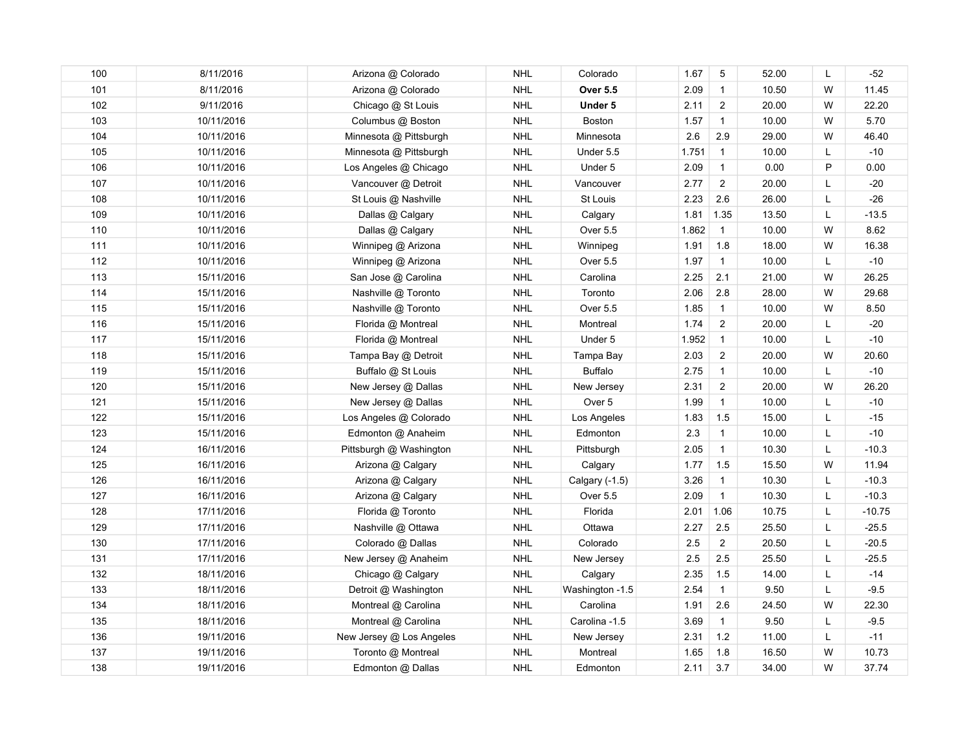| 100 | 8/11/2016  | Arizona @ Colorado       | <b>NHL</b> | Colorado        | 1.67    | 5              | 52.00 | L | $-52$    |
|-----|------------|--------------------------|------------|-----------------|---------|----------------|-------|---|----------|
| 101 | 8/11/2016  | Arizona @ Colorado       | <b>NHL</b> | <b>Over 5.5</b> | 2.09    | $\mathbf{1}$   | 10.50 | W | 11.45    |
| 102 | 9/11/2016  | Chicago @ St Louis       | <b>NHL</b> | Under 5         | 2.11    | $\overline{2}$ | 20.00 | W | 22.20    |
| 103 | 10/11/2016 | Columbus @ Boston        | <b>NHL</b> | <b>Boston</b>   | 1.57    | $\mathbf{1}$   | 10.00 | W | 5.70     |
| 104 | 10/11/2016 | Minnesota @ Pittsburgh   | <b>NHL</b> | Minnesota       | 2.6     | 2.9            | 29.00 | W | 46.40    |
| 105 | 10/11/2016 | Minnesota @ Pittsburgh   | <b>NHL</b> | Under 5.5       | 1.751   | $\overline{1}$ | 10.00 | L | $-10$    |
| 106 | 10/11/2016 | Los Angeles @ Chicago    | <b>NHL</b> | Under 5         | 2.09    | $\overline{1}$ | 0.00  | P | 0.00     |
| 107 | 10/11/2016 | Vancouver @ Detroit      | <b>NHL</b> | Vancouver       | 2.77    | $\overline{c}$ | 20.00 | Г | $-20$    |
| 108 | 10/11/2016 | St Louis @ Nashville     | <b>NHL</b> | St Louis        | 2.23    | 2.6            | 26.00 | L | $-26$    |
| 109 | 10/11/2016 | Dallas @ Calgary         | <b>NHL</b> | Calgary         | 1.81    | 1.35           | 13.50 | L | $-13.5$  |
| 110 | 10/11/2016 | Dallas @ Calgary         | <b>NHL</b> | Over 5.5        | 1.862   | $\mathbf{1}$   | 10.00 | W | 8.62     |
| 111 | 10/11/2016 | Winnipeg @ Arizona       | <b>NHL</b> | Winnipeg        | 1.91    | 1.8            | 18.00 | W | 16.38    |
| 112 | 10/11/2016 | Winnipeg @ Arizona       | <b>NHL</b> | Over 5.5        | 1.97    | $\mathbf{1}$   | 10.00 | L | $-10$    |
| 113 | 15/11/2016 | San Jose @ Carolina      | <b>NHL</b> | Carolina        | 2.25    | 2.1            | 21.00 | W | 26.25    |
| 114 | 15/11/2016 | Nashville @ Toronto      | <b>NHL</b> | Toronto         | 2.06    | $2.8\,$        | 28.00 | W | 29.68    |
| 115 | 15/11/2016 | Nashville @ Toronto      | <b>NHL</b> | Over 5.5        | 1.85    | $\mathbf{1}$   | 10.00 | W | 8.50     |
| 116 | 15/11/2016 | Florida @ Montreal       | <b>NHL</b> | Montreal        | 1.74    | $\overline{2}$ | 20.00 | L | $-20$    |
| 117 | 15/11/2016 | Florida @ Montreal       | <b>NHL</b> | Under 5         | 1.952   | $\overline{1}$ | 10.00 | L | $-10$    |
| 118 | 15/11/2016 | Tampa Bay @ Detroit      | <b>NHL</b> | Tampa Bay       | 2.03    | $\overline{2}$ | 20.00 | W | 20.60    |
| 119 | 15/11/2016 | Buffalo @ St Louis       | <b>NHL</b> | <b>Buffalo</b>  | 2.75    | $\mathbf{1}$   | 10.00 | L | $-10$    |
| 120 | 15/11/2016 | New Jersey @ Dallas      | <b>NHL</b> | New Jersey      | 2.31    | $\overline{2}$ | 20.00 | W | 26.20    |
| 121 | 15/11/2016 | New Jersey @ Dallas      | <b>NHL</b> | Over 5          | 1.99    | $\mathbf{1}$   | 10.00 | Г | $-10$    |
| 122 | 15/11/2016 | Los Angeles @ Colorado   | <b>NHL</b> | Los Angeles     | 1.83    | 1.5            | 15.00 | L | $-15$    |
| 123 | 15/11/2016 | Edmonton @ Anaheim       | <b>NHL</b> | Edmonton        | 2.3     | $\mathbf{1}$   | 10.00 | L | $-10$    |
| 124 | 16/11/2016 | Pittsburgh @ Washington  | <b>NHL</b> | Pittsburgh      | 2.05    | $\mathbf{1}$   | 10.30 | L | $-10.3$  |
| 125 | 16/11/2016 | Arizona @ Calgary        | <b>NHL</b> | Calgary         | 1.77    | 1.5            | 15.50 | W | 11.94    |
| 126 | 16/11/2016 | Arizona @ Calgary        | <b>NHL</b> | Calgary (-1.5)  | 3.26    | $\mathbf{1}$   | 10.30 | L | $-10.3$  |
| 127 | 16/11/2016 | Arizona @ Calgary        | <b>NHL</b> | Over 5.5        | 2.09    | $\mathbf{1}$   | 10.30 | L | $-10.3$  |
| 128 | 17/11/2016 | Florida @ Toronto        | <b>NHL</b> | Florida         | 2.01    | 1.06           | 10.75 | L | $-10.75$ |
| 129 | 17/11/2016 | Nashville @ Ottawa       | <b>NHL</b> | Ottawa          | 2.27    | 2.5            | 25.50 | L | $-25.5$  |
| 130 | 17/11/2016 | Colorado @ Dallas        | <b>NHL</b> | Colorado        | 2.5     | $\overline{2}$ | 20.50 | Г | $-20.5$  |
| 131 | 17/11/2016 | New Jersey @ Anaheim     | <b>NHL</b> | New Jersey      | $2.5\,$ | 2.5            | 25.50 | L | $-25.5$  |
| 132 | 18/11/2016 | Chicago @ Calgary        | <b>NHL</b> | Calgary         | 2.35    | 1.5            | 14.00 | Г | $-14$    |
| 133 | 18/11/2016 | Detroit @ Washington     | <b>NHL</b> | Washington -1.5 | 2.54    | $\mathbf{1}$   | 9.50  | Г | $-9.5$   |
| 134 | 18/11/2016 | Montreal @ Carolina      | <b>NHL</b> | Carolina        | 1.91    | $2.6\,$        | 24.50 | W | 22.30    |
| 135 | 18/11/2016 | Montreal @ Carolina      | <b>NHL</b> | Carolina -1.5   | 3.69    | $\mathbf{1}$   | 9.50  | L | $-9.5$   |
| 136 | 19/11/2016 | New Jersey @ Los Angeles | <b>NHL</b> | New Jersey      | 2.31    | 1.2            | 11.00 | L | $-11$    |
| 137 | 19/11/2016 | Toronto @ Montreal       | <b>NHL</b> | Montreal        | 1.65    | 1.8            | 16.50 | W | 10.73    |
| 138 | 19/11/2016 | Edmonton @ Dallas        | <b>NHL</b> | Edmonton        | 2.11    | 3.7            | 34.00 | W | 37.74    |
|     |            |                          |            |                 |         |                |       |   |          |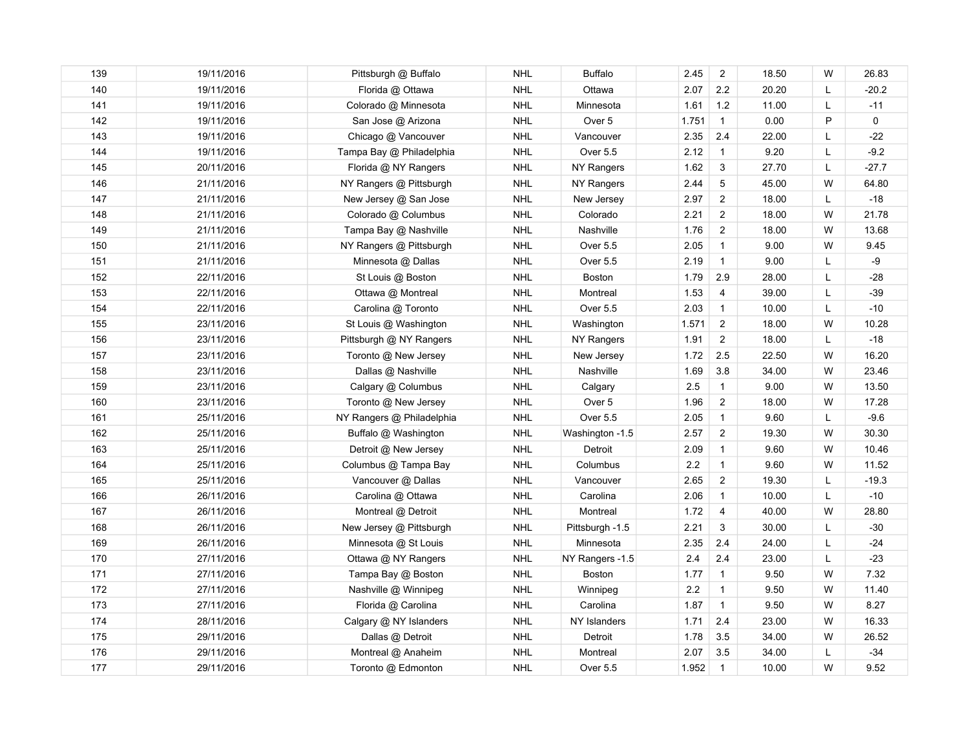| 139 | 19/11/2016 | Pittsburgh @ Buffalo      | <b>NHL</b> | <b>Buffalo</b>  | 2.45  | 2              | 18.50 | W | 26.83   |
|-----|------------|---------------------------|------------|-----------------|-------|----------------|-------|---|---------|
| 140 | 19/11/2016 | Florida @ Ottawa          | <b>NHL</b> | Ottawa          | 2.07  | $2.2\,$        | 20.20 | Г | $-20.2$ |
| 141 | 19/11/2016 | Colorado @ Minnesota      | <b>NHL</b> | Minnesota       | 1.61  | 1.2            | 11.00 | L | $-11$   |
| 142 | 19/11/2016 | San Jose @ Arizona        | <b>NHL</b> | Over 5          | 1.751 | $\overline{1}$ | 0.00  | P | 0       |
| 143 | 19/11/2016 | Chicago @ Vancouver       | <b>NHL</b> | Vancouver       | 2.35  | 2.4            | 22.00 | L | $-22$   |
| 144 | 19/11/2016 | Tampa Bay @ Philadelphia  | <b>NHL</b> | Over 5.5        | 2.12  | $\mathbf{1}$   | 9.20  | L | $-9.2$  |
| 145 | 20/11/2016 | Florida @ NY Rangers      | <b>NHL</b> | NY Rangers      | 1.62  | 3              | 27.70 | L | $-27.7$ |
| 146 | 21/11/2016 | NY Rangers @ Pittsburgh   | <b>NHL</b> | NY Rangers      | 2.44  | 5              | 45.00 | W | 64.80   |
| 147 | 21/11/2016 | New Jersey @ San Jose     | <b>NHL</b> | New Jersey      | 2.97  | $\overline{2}$ | 18.00 | L | $-18$   |
| 148 | 21/11/2016 | Colorado @ Columbus       | <b>NHL</b> | Colorado        | 2.21  | $\overline{c}$ | 18.00 | W | 21.78   |
| 149 | 21/11/2016 | Tampa Bay @ Nashville     | <b>NHL</b> | Nashville       | 1.76  | $\overline{2}$ | 18.00 | W | 13.68   |
| 150 | 21/11/2016 | NY Rangers @ Pittsburgh   | <b>NHL</b> | Over 5.5        | 2.05  | $\mathbf{1}$   | 9.00  | W | 9.45    |
| 151 | 21/11/2016 | Minnesota @ Dallas        | <b>NHL</b> | Over 5.5        | 2.19  | $\overline{1}$ | 9.00  | L | -9      |
| 152 | 22/11/2016 | St Louis @ Boston         | <b>NHL</b> | Boston          | 1.79  | 2.9            | 28.00 | L | $-28$   |
| 153 | 22/11/2016 | Ottawa @ Montreal         | <b>NHL</b> | Montreal        | 1.53  | $\overline{4}$ | 39.00 | L | $-39$   |
| 154 | 22/11/2016 | Carolina @ Toronto        | <b>NHL</b> | Over 5.5        | 2.03  | $\mathbf{1}$   | 10.00 | L | $-10$   |
| 155 | 23/11/2016 | St Louis @ Washington     | <b>NHL</b> | Washington      | 1.571 | 2              | 18.00 | W | 10.28   |
| 156 | 23/11/2016 | Pittsburgh @ NY Rangers   | <b>NHL</b> | NY Rangers      | 1.91  | $\overline{2}$ | 18.00 | L | $-18$   |
| 157 | 23/11/2016 | Toronto @ New Jersey      | <b>NHL</b> | New Jersey      | 1.72  | 2.5            | 22.50 | W | 16.20   |
| 158 | 23/11/2016 | Dallas @ Nashville        | <b>NHL</b> | Nashville       | 1.69  | 3.8            | 34.00 | W | 23.46   |
| 159 | 23/11/2016 | Calgary @ Columbus        | <b>NHL</b> | Calgary         | 2.5   | $\mathbf{1}$   | 9.00  | W | 13.50   |
| 160 | 23/11/2016 | Toronto @ New Jersey      | <b>NHL</b> | Over 5          | 1.96  | $\overline{c}$ | 18.00 | W | 17.28   |
| 161 | 25/11/2016 | NY Rangers @ Philadelphia | <b>NHL</b> | Over 5.5        | 2.05  | $\mathbf{1}$   | 9.60  | L | $-9.6$  |
| 162 | 25/11/2016 | Buffalo @ Washington      | <b>NHL</b> | Washington -1.5 | 2.57  | $\overline{c}$ | 19.30 | W | 30.30   |
| 163 | 25/11/2016 | Detroit @ New Jersey      | <b>NHL</b> | Detroit         | 2.09  | $\mathbf{1}$   | 9.60  | W | 10.46   |
| 164 | 25/11/2016 | Columbus @ Tampa Bay      | <b>NHL</b> | Columbus        | 2.2   | $\mathbf{1}$   | 9.60  | W | 11.52   |
| 165 | 25/11/2016 | Vancouver @ Dallas        | <b>NHL</b> | Vancouver       | 2.65  | $\overline{2}$ | 19.30 | L | $-19.3$ |
| 166 | 26/11/2016 | Carolina @ Ottawa         | <b>NHL</b> | Carolina        | 2.06  | $\mathbf{1}$   | 10.00 | L | $-10$   |
| 167 | 26/11/2016 | Montreal @ Detroit        | <b>NHL</b> | Montreal        | 1.72  | $\overline{4}$ | 40.00 | W | 28.80   |
| 168 | 26/11/2016 | New Jersey @ Pittsburgh   | <b>NHL</b> | Pittsburgh -1.5 | 2.21  | 3              | 30.00 | L | $-30$   |
| 169 | 26/11/2016 | Minnesota @ St Louis      | <b>NHL</b> | Minnesota       | 2.35  | 2.4            | 24.00 | L | $-24$   |
| 170 | 27/11/2016 | Ottawa @ NY Rangers       | <b>NHL</b> | NY Rangers -1.5 | 2.4   | 2.4            | 23.00 | L | $-23$   |
| 171 | 27/11/2016 | Tampa Bay @ Boston        | <b>NHL</b> | <b>Boston</b>   | 1.77  | $\mathbf{1}$   | 9.50  | W | 7.32    |
| 172 | 27/11/2016 | Nashville @ Winnipeg      | <b>NHL</b> | Winnipeg        | 2.2   | $\mathbf{1}$   | 9.50  | W | 11.40   |
| 173 | 27/11/2016 | Florida @ Carolina        | <b>NHL</b> | Carolina        | 1.87  | $\mathbf{1}$   | 9.50  | W | 8.27    |
| 174 | 28/11/2016 | Calgary @ NY Islanders    | <b>NHL</b> | NY Islanders    | 1.71  | 2.4            | 23.00 | W | 16.33   |
| 175 | 29/11/2016 | Dallas @ Detroit          | <b>NHL</b> | Detroit         | 1.78  | 3.5            | 34.00 | W | 26.52   |
| 176 | 29/11/2016 | Montreal @ Anaheim        | <b>NHL</b> | Montreal        | 2.07  | 3.5            | 34.00 | L | $-34$   |
| 177 | 29/11/2016 | Toronto @ Edmonton        | <b>NHL</b> | Over 5.5        | 1.952 | $\overline{1}$ | 10.00 | W | 9.52    |
|     |            |                           |            |                 |       |                |       |   |         |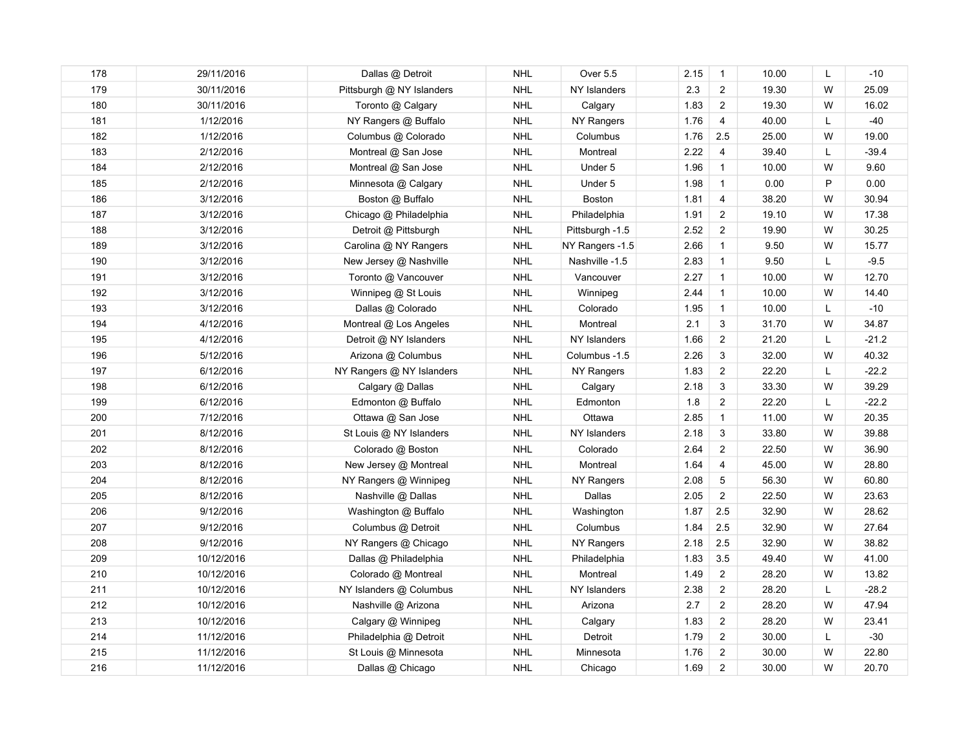| 178 | 29/11/2016 | Dallas @ Detroit          | <b>NHL</b> | Over 5.5        | 2.15 | $\mathbf{1}$   | 10.00 | L  | $-10$   |
|-----|------------|---------------------------|------------|-----------------|------|----------------|-------|----|---------|
| 179 | 30/11/2016 | Pittsburgh @ NY Islanders | <b>NHL</b> | NY Islanders    | 2.3  | $\overline{c}$ | 19.30 | W  | 25.09   |
| 180 | 30/11/2016 | Toronto @ Calgary         | <b>NHL</b> | Calgary         | 1.83 | $\overline{c}$ | 19.30 | W  | 16.02   |
| 181 | 1/12/2016  | NY Rangers @ Buffalo      | <b>NHL</b> | NY Rangers      | 1.76 | 4              | 40.00 | L  | -40     |
| 182 | 1/12/2016  | Columbus @ Colorado       | <b>NHL</b> | Columbus        | 1.76 | 2.5            | 25.00 | W  | 19.00   |
| 183 | 2/12/2016  | Montreal @ San Jose       | <b>NHL</b> | Montreal        | 2.22 | $\overline{4}$ | 39.40 | L  | $-39.4$ |
| 184 | 2/12/2016  | Montreal @ San Jose       | <b>NHL</b> | Under 5         | 1.96 | $\mathbf{1}$   | 10.00 | W  | 9.60    |
| 185 | 2/12/2016  | Minnesota @ Calgary       | <b>NHL</b> | Under 5         | 1.98 | $\mathbf{1}$   | 0.00  | P  | 0.00    |
| 186 | 3/12/2016  | Boston @ Buffalo          | <b>NHL</b> | Boston          | 1.81 | $\overline{4}$ | 38.20 | W  | 30.94   |
| 187 | 3/12/2016  | Chicago @ Philadelphia    | <b>NHL</b> | Philadelphia    | 1.91 | $\overline{2}$ | 19.10 | W  | 17.38   |
| 188 | 3/12/2016  | Detroit @ Pittsburgh      | <b>NHL</b> | Pittsburgh -1.5 | 2.52 | $\overline{2}$ | 19.90 | W  | 30.25   |
| 189 | 3/12/2016  | Carolina @ NY Rangers     | <b>NHL</b> | NY Rangers -1.5 | 2.66 | $\mathbf{1}$   | 9.50  | W  | 15.77   |
| 190 | 3/12/2016  | New Jersey @ Nashville    | <b>NHL</b> | Nashville -1.5  | 2.83 | $\mathbf{1}$   | 9.50  | L  | $-9.5$  |
| 191 | 3/12/2016  | Toronto @ Vancouver       | <b>NHL</b> | Vancouver       | 2.27 | $\overline{1}$ | 10.00 | W  | 12.70   |
| 192 | 3/12/2016  | Winnipeg @ St Louis       | <b>NHL</b> | Winnipeg        | 2.44 | $\overline{1}$ | 10.00 | W  | 14.40   |
| 193 | 3/12/2016  | Dallas @ Colorado         | <b>NHL</b> | Colorado        | 1.95 | $\mathbf{1}$   | 10.00 | L  | $-10$   |
| 194 | 4/12/2016  | Montreal @ Los Angeles    | <b>NHL</b> | Montreal        | 2.1  | 3              | 31.70 | W  | 34.87   |
| 195 | 4/12/2016  | Detroit @ NY Islanders    | <b>NHL</b> | NY Islanders    | 1.66 | $\overline{2}$ | 21.20 | L  | $-21.2$ |
| 196 | 5/12/2016  | Arizona @ Columbus        | <b>NHL</b> | Columbus -1.5   | 2.26 | 3              | 32.00 | W  | 40.32   |
| 197 | 6/12/2016  | NY Rangers @ NY Islanders | <b>NHL</b> | NY Rangers      | 1.83 | $\overline{2}$ | 22.20 | L. | $-22.2$ |
| 198 | 6/12/2016  | Calgary @ Dallas          | <b>NHL</b> | Calgary         | 2.18 | 3              | 33.30 | W  | 39.29   |
| 199 | 6/12/2016  | Edmonton @ Buffalo        | <b>NHL</b> | Edmonton        | 1.8  | $\overline{2}$ | 22.20 | L. | $-22.2$ |
| 200 | 7/12/2016  | Ottawa @ San Jose         | <b>NHL</b> | Ottawa          | 2.85 | $\mathbf{1}$   | 11.00 | W  | 20.35   |
| 201 | 8/12/2016  | St Louis @ NY Islanders   | <b>NHL</b> | NY Islanders    | 2.18 | 3              | 33.80 | W  | 39.88   |
| 202 | 8/12/2016  | Colorado @ Boston         | <b>NHL</b> | Colorado        | 2.64 | $\overline{2}$ | 22.50 | W  | 36.90   |
| 203 | 8/12/2016  | New Jersey @ Montreal     | <b>NHL</b> | Montreal        | 1.64 | 4              | 45.00 | W  | 28.80   |
| 204 | 8/12/2016  | NY Rangers @ Winnipeg     | <b>NHL</b> | NY Rangers      | 2.08 | 5              | 56.30 | W  | 60.80   |
| 205 | 8/12/2016  | Nashville @ Dallas        | <b>NHL</b> | Dallas          | 2.05 | $\overline{2}$ | 22.50 | W  | 23.63   |
| 206 | 9/12/2016  | Washington @ Buffalo      | <b>NHL</b> | Washington      | 1.87 | 2.5            | 32.90 | W  | 28.62   |
| 207 | 9/12/2016  | Columbus @ Detroit        | <b>NHL</b> | Columbus        | 1.84 | 2.5            | 32.90 | W  | 27.64   |
| 208 | 9/12/2016  | NY Rangers @ Chicago      | <b>NHL</b> | NY Rangers      | 2.18 | 2.5            | 32.90 | W  | 38.82   |
| 209 | 10/12/2016 | Dallas @ Philadelphia     | <b>NHL</b> | Philadelphia    | 1.83 | 3.5            | 49.40 | W  | 41.00   |
| 210 | 10/12/2016 | Colorado @ Montreal       | <b>NHL</b> | Montreal        | 1.49 | $\overline{c}$ | 28.20 | W  | 13.82   |
| 211 | 10/12/2016 | NY Islanders @ Columbus   | <b>NHL</b> | NY Islanders    | 2.38 | $\overline{c}$ | 28.20 | Г  | $-28.2$ |
| 212 | 10/12/2016 | Nashville @ Arizona       | <b>NHL</b> | Arizona         | 2.7  | $\overline{2}$ | 28.20 | W  | 47.94   |
| 213 | 10/12/2016 | Calgary @ Winnipeg        | <b>NHL</b> | Calgary         | 1.83 | $\overline{2}$ | 28.20 | W  | 23.41   |
| 214 | 11/12/2016 | Philadelphia @ Detroit    | <b>NHL</b> | Detroit         | 1.79 | $\overline{2}$ | 30.00 | L  | $-30$   |
| 215 | 11/12/2016 | St Louis @ Minnesota      | <b>NHL</b> | Minnesota       | 1.76 | 2              | 30.00 | W  | 22.80   |
| 216 | 11/12/2016 | Dallas @ Chicago          | <b>NHL</b> | Chicago         | 1.69 | $\overline{2}$ | 30.00 | W  | 20.70   |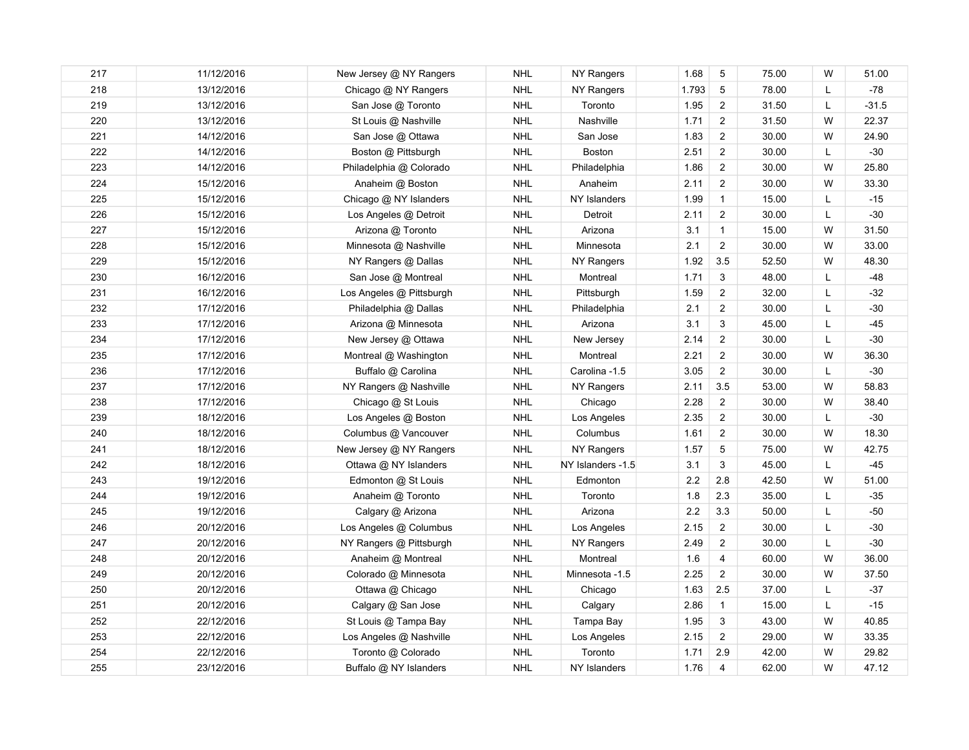| 217 | 11/12/2016 | New Jersey @ NY Rangers  | <b>NHL</b> | NY Rangers        | 1.68    | $\sqrt{5}$              | 75.00 | W         | 51.00   |
|-----|------------|--------------------------|------------|-------------------|---------|-------------------------|-------|-----------|---------|
| 218 | 13/12/2016 | Chicago @ NY Rangers     | <b>NHL</b> | NY Rangers        | 1.793   | $\sqrt{5}$              | 78.00 | Г         | $-78$   |
| 219 | 13/12/2016 | San Jose @ Toronto       | <b>NHL</b> | Toronto           | 1.95    | $\overline{2}$          | 31.50 | Г         | $-31.5$ |
| 220 | 13/12/2016 | St Louis @ Nashville     | <b>NHL</b> | Nashville         | 1.71    | $\overline{a}$          | 31.50 | W         | 22.37   |
| 221 | 14/12/2016 | San Jose @ Ottawa        | <b>NHL</b> | San Jose          | 1.83    | $\overline{c}$          | 30.00 | W         | 24.90   |
| 222 | 14/12/2016 | Boston @ Pittsburgh      | <b>NHL</b> | Boston            | 2.51    | $\overline{2}$          | 30.00 | Г         | $-30$   |
| 223 | 14/12/2016 | Philadelphia @ Colorado  | <b>NHL</b> | Philadelphia      | 1.86    | $\overline{2}$          | 30.00 | W         | 25.80   |
| 224 | 15/12/2016 | Anaheim @ Boston         | <b>NHL</b> | Anaheim           | 2.11    | $\overline{2}$          | 30.00 | W         | 33.30   |
| 225 | 15/12/2016 | Chicago @ NY Islanders   | <b>NHL</b> | NY Islanders      | 1.99    | $\mathbf{1}$            | 15.00 | Г         | $-15$   |
| 226 | 15/12/2016 | Los Angeles @ Detroit    | <b>NHL</b> | Detroit           | 2.11    | $\overline{a}$          | 30.00 | L         | $-30$   |
| 227 | 15/12/2016 | Arizona @ Toronto        | <b>NHL</b> | Arizona           | 3.1     | $\mathbf{1}$            | 15.00 | W         | 31.50   |
| 228 | 15/12/2016 | Minnesota @ Nashville    | <b>NHL</b> | Minnesota         | 2.1     | $\mathbf{2}$            | 30.00 | W         | 33.00   |
| 229 | 15/12/2016 | NY Rangers @ Dallas      | <b>NHL</b> | NY Rangers        | 1.92    | 3.5                     | 52.50 | W         | 48.30   |
| 230 | 16/12/2016 | San Jose @ Montreal      | <b>NHL</b> | Montreal          | 1.71    | 3                       | 48.00 | L         | $-48$   |
| 231 | 16/12/2016 | Los Angeles @ Pittsburgh | <b>NHL</b> | Pittsburgh        | 1.59    | $\overline{2}$          | 32.00 | L         | $-32$   |
| 232 | 17/12/2016 | Philadelphia @ Dallas    | <b>NHL</b> | Philadelphia      | 2.1     | $\overline{2}$          | 30.00 | L         | $-30$   |
| 233 | 17/12/2016 | Arizona @ Minnesota      | <b>NHL</b> | Arizona           | 3.1     | 3                       | 45.00 | L         | $-45$   |
| 234 | 17/12/2016 | New Jersey @ Ottawa      | <b>NHL</b> | New Jersey        | 2.14    | $\mathbf{2}$            | 30.00 | L         | $-30$   |
| 235 | 17/12/2016 | Montreal @ Washington    | <b>NHL</b> | Montreal          | 2.21    | $\overline{2}$          | 30.00 | W         | 36.30   |
| 236 | 17/12/2016 | Buffalo @ Carolina       | <b>NHL</b> | Carolina -1.5     | 3.05    | $\overline{2}$          | 30.00 | Г         | $-30$   |
| 237 | 17/12/2016 | NY Rangers @ Nashville   | <b>NHL</b> | NY Rangers        | 2.11    | 3.5                     | 53.00 | W         | 58.83   |
| 238 | 17/12/2016 | Chicago @ St Louis       | <b>NHL</b> | Chicago           | 2.28    | $\overline{c}$          | 30.00 | W         | 38.40   |
| 239 | 18/12/2016 | Los Angeles @ Boston     | <b>NHL</b> | Los Angeles       | 2.35    | $\boldsymbol{2}$        | 30.00 | L         | $-30$   |
| 240 | 18/12/2016 | Columbus @ Vancouver     | <b>NHL</b> | Columbus          | 1.61    | $\overline{c}$          | 30.00 | W         | 18.30   |
| 241 | 18/12/2016 | New Jersey @ NY Rangers  | <b>NHL</b> | NY Rangers        | 1.57    | $\sqrt{5}$              | 75.00 | W         | 42.75   |
| 242 | 18/12/2016 | Ottawa @ NY Islanders    | <b>NHL</b> | NY Islanders -1.5 | 3.1     | 3                       | 45.00 | L         | $-45$   |
| 243 | 19/12/2016 | Edmonton @ St Louis      | <b>NHL</b> | Edmonton          | $2.2\,$ | 2.8                     | 42.50 | W         | 51.00   |
| 244 | 19/12/2016 | Anaheim @ Toronto        | <b>NHL</b> | Toronto           | 1.8     | 2.3                     | 35.00 | L         | $-35$   |
| 245 | 19/12/2016 | Calgary @ Arizona        | <b>NHL</b> | Arizona           | $2.2\,$ | 3.3                     | 50.00 | L         | $-50$   |
| 246 | 20/12/2016 | Los Angeles @ Columbus   | <b>NHL</b> | Los Angeles       | 2.15    | $\overline{c}$          | 30.00 | L         | $-30$   |
| 247 | 20/12/2016 | NY Rangers @ Pittsburgh  | <b>NHL</b> | NY Rangers        | 2.49    | $\overline{2}$          | 30.00 | Г         | $-30$   |
| 248 | 20/12/2016 | Anaheim @ Montreal       | <b>NHL</b> | Montreal          | 1.6     | $\overline{\mathbf{4}}$ | 60.00 | W         | 36.00   |
| 249 | 20/12/2016 | Colorado @ Minnesota     | <b>NHL</b> | Minnesota -1.5    | 2.25    | $\overline{c}$          | 30.00 | W         | 37.50   |
| 250 | 20/12/2016 | Ottawa @ Chicago         | <b>NHL</b> | Chicago           | 1.63    | 2.5                     | 37.00 | L         | $-37$   |
| 251 | 20/12/2016 | Calgary @ San Jose       | <b>NHL</b> | Calgary           | 2.86    | $\mathbf{1}$            | 15.00 | L.        | $-15$   |
| 252 | 22/12/2016 | St Louis @ Tampa Bay     | <b>NHL</b> | Tampa Bay         | 1.95    | 3                       | 43.00 | W         | 40.85   |
| 253 | 22/12/2016 | Los Angeles @ Nashville  | <b>NHL</b> | Los Angeles       | 2.15    | $\overline{2}$          | 29.00 | ${\sf W}$ | 33.35   |
| 254 | 22/12/2016 | Toronto @ Colorado       | <b>NHL</b> | Toronto           | 1.71    | 2.9                     | 42.00 | W         | 29.82   |
| 255 | 23/12/2016 | Buffalo @ NY Islanders   | <b>NHL</b> | NY Islanders      | 1.76    | 4                       | 62.00 | W         | 47.12   |
|     |            |                          |            |                   |         |                         |       |           |         |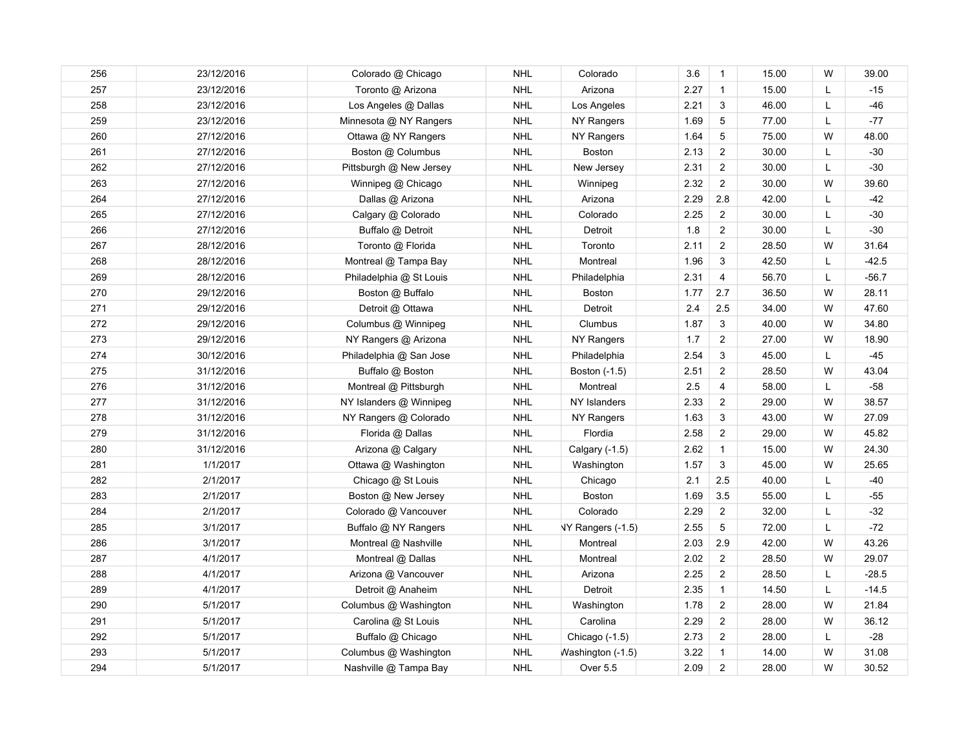| 256 | 23/12/2016 | Colorado @ Chicago      | <b>NHL</b> | Colorado          | 3.6  | $\mathbf{1}$   | 15.00 | W  | 39.00   |
|-----|------------|-------------------------|------------|-------------------|------|----------------|-------|----|---------|
| 257 | 23/12/2016 | Toronto @ Arizona       | <b>NHL</b> | Arizona           | 2.27 | $\overline{1}$ | 15.00 | Г  | $-15$   |
| 258 | 23/12/2016 | Los Angeles @ Dallas    | <b>NHL</b> | Los Angeles       | 2.21 | 3              | 46.00 | Г  | $-46$   |
| 259 | 23/12/2016 | Minnesota @ NY Rangers  | <b>NHL</b> | NY Rangers        | 1.69 | 5              | 77.00 | L  | $-77$   |
| 260 | 27/12/2016 | Ottawa @ NY Rangers     | <b>NHL</b> | NY Rangers        | 1.64 | $\,$ 5 $\,$    | 75.00 | W  | 48.00   |
| 261 | 27/12/2016 | Boston @ Columbus       | <b>NHL</b> | <b>Boston</b>     | 2.13 | $\overline{2}$ | 30.00 | L  | $-30$   |
| 262 | 27/12/2016 | Pittsburgh @ New Jersey | <b>NHL</b> | New Jersey        | 2.31 | $\overline{2}$ | 30.00 | L  | $-30$   |
| 263 | 27/12/2016 | Winnipeg @ Chicago      | <b>NHL</b> | Winnipeg          | 2.32 | $\overline{2}$ | 30.00 | W  | 39.60   |
| 264 | 27/12/2016 | Dallas @ Arizona        | <b>NHL</b> | Arizona           | 2.29 | 2.8            | 42.00 | Г  | -42     |
| 265 | 27/12/2016 | Calgary @ Colorado      | <b>NHL</b> | Colorado          | 2.25 | $\overline{2}$ | 30.00 | L  | $-30$   |
| 266 | 27/12/2016 | Buffalo @ Detroit       | <b>NHL</b> | Detroit           | 1.8  | $\overline{2}$ | 30.00 | L  | $-30$   |
| 267 | 28/12/2016 | Toronto @ Florida       | <b>NHL</b> | Toronto           | 2.11 | $\overline{2}$ | 28.50 | W  | 31.64   |
| 268 | 28/12/2016 | Montreal @ Tampa Bay    | <b>NHL</b> | Montreal          | 1.96 | 3              | 42.50 | L  | $-42.5$ |
| 269 | 28/12/2016 | Philadelphia @ St Louis | <b>NHL</b> | Philadelphia      | 2.31 | 4              | 56.70 | L  | $-56.7$ |
| 270 | 29/12/2016 | Boston @ Buffalo        | <b>NHL</b> | <b>Boston</b>     | 1.77 | 2.7            | 36.50 | W  | 28.11   |
| 271 | 29/12/2016 | Detroit @ Ottawa        | <b>NHL</b> | Detroit           | 2.4  | 2.5            | 34.00 | W  | 47.60   |
| 272 | 29/12/2016 | Columbus @ Winnipeg     | <b>NHL</b> | Clumbus           | 1.87 | $\mathbf{3}$   | 40.00 | W  | 34.80   |
| 273 | 29/12/2016 | NY Rangers @ Arizona    | <b>NHL</b> | NY Rangers        | 1.7  | $\overline{2}$ | 27.00 | W  | 18.90   |
| 274 | 30/12/2016 | Philadelphia @ San Jose | <b>NHL</b> | Philadelphia      | 2.54 | 3              | 45.00 | L  | $-45$   |
| 275 | 31/12/2016 | Buffalo @ Boston        | <b>NHL</b> | Boston (-1.5)     | 2.51 | $\overline{2}$ | 28.50 | W  | 43.04   |
| 276 | 31/12/2016 | Montreal @ Pittsburgh   | <b>NHL</b> | Montreal          | 2.5  | 4              | 58.00 | L. | $-58$   |
| 277 | 31/12/2016 | NY Islanders @ Winnipeg | <b>NHL</b> | NY Islanders      | 2.33 | $\overline{2}$ | 29.00 | W  | 38.57   |
| 278 | 31/12/2016 | NY Rangers @ Colorado   | <b>NHL</b> | NY Rangers        | 1.63 | 3              | 43.00 | W  | 27.09   |
| 279 | 31/12/2016 | Florida @ Dallas        | <b>NHL</b> | Flordia           | 2.58 | $\overline{2}$ | 29.00 | W  | 45.82   |
| 280 | 31/12/2016 | Arizona @ Calgary       | <b>NHL</b> | Calgary (-1.5)    | 2.62 | $\mathbf{1}$   | 15.00 | W  | 24.30   |
| 281 | 1/1/2017   | Ottawa @ Washington     | <b>NHL</b> | Washington        | 1.57 | 3              | 45.00 | W  | 25.65   |
| 282 | 2/1/2017   | Chicago @ St Louis      | <b>NHL</b> | Chicago           | 2.1  | 2.5            | 40.00 | L  | $-40$   |
| 283 | 2/1/2017   | Boston @ New Jersey     | <b>NHL</b> | <b>Boston</b>     | 1.69 | 3.5            | 55.00 | L  | $-55$   |
| 284 | 2/1/2017   | Colorado @ Vancouver    | <b>NHL</b> | Colorado          | 2.29 | $\overline{c}$ | 32.00 | L  | $-32$   |
| 285 | 3/1/2017   | Buffalo @ NY Rangers    | <b>NHL</b> | NY Rangers (-1.5) | 2.55 | $\,$ 5 $\,$    | 72.00 | L  | $-72$   |
| 286 | 3/1/2017   | Montreal @ Nashville    | <b>NHL</b> | Montreal          | 2.03 | 2.9            | 42.00 | W  | 43.26   |
| 287 | 4/1/2017   | Montreal @ Dallas       | <b>NHL</b> | Montreal          | 2.02 | $\overline{2}$ | 28.50 | W  | 29.07   |
| 288 | 4/1/2017   | Arizona @ Vancouver     | <b>NHL</b> | Arizona           | 2.25 | $\overline{2}$ | 28.50 | L  | $-28.5$ |
| 289 | 4/1/2017   | Detroit @ Anaheim       | <b>NHL</b> | Detroit           | 2.35 | $\mathbf{1}$   | 14.50 | L  | $-14.5$ |
| 290 | 5/1/2017   | Columbus @ Washington   | <b>NHL</b> | Washington        | 1.78 | $\overline{2}$ | 28.00 | W  | 21.84   |
| 291 | 5/1/2017   | Carolina @ St Louis     | <b>NHL</b> | Carolina          | 2.29 | $\overline{2}$ | 28.00 | W  | 36.12   |
| 292 | 5/1/2017   | Buffalo @ Chicago       | <b>NHL</b> | Chicago (-1.5)    | 2.73 | $\overline{2}$ | 28.00 | L  | $-28$   |
| 293 | 5/1/2017   | Columbus @ Washington   | <b>NHL</b> | Washington (-1.5) | 3.22 | $\overline{1}$ | 14.00 | W  | 31.08   |
| 294 | 5/1/2017   | Nashville @ Tampa Bay   | <b>NHL</b> | Over 5.5          | 2.09 | $\overline{2}$ | 28.00 | W  | 30.52   |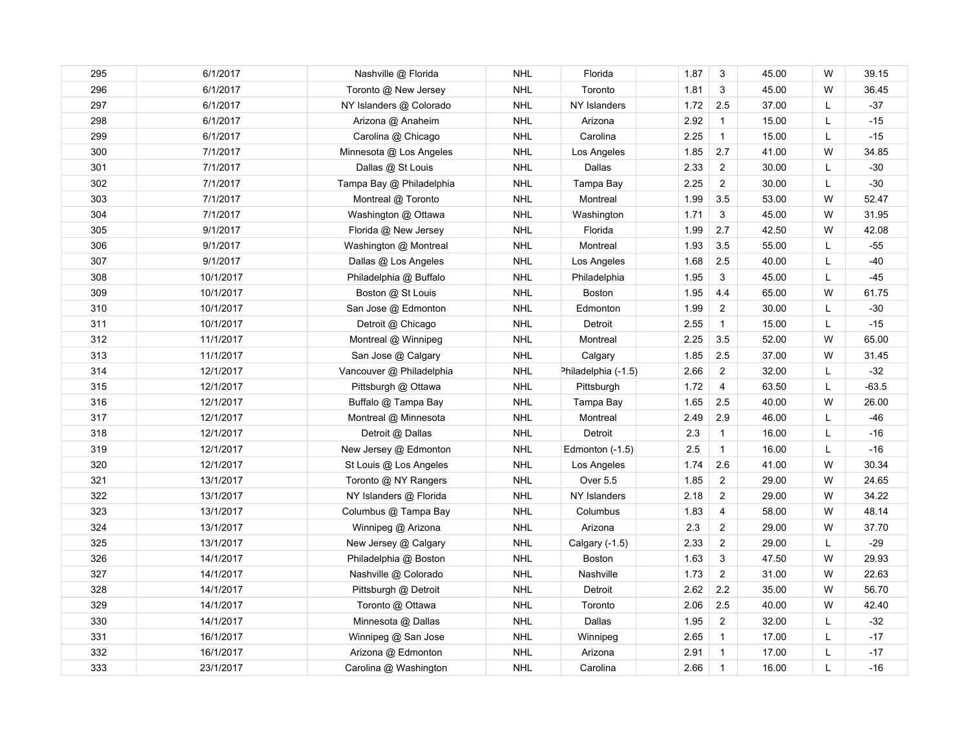| 295 | 6/1/2017  | Nashville @ Florida      | <b>NHL</b> | Florida             | 1.87 | 3                       | 45.00 | W  | 39.15   |
|-----|-----------|--------------------------|------------|---------------------|------|-------------------------|-------|----|---------|
| 296 | 6/1/2017  | Toronto @ New Jersey     | <b>NHL</b> | Toronto             | 1.81 | 3                       | 45.00 | W  | 36.45   |
| 297 | 6/1/2017  | NY Islanders @ Colorado  | <b>NHL</b> | NY Islanders        | 1.72 | 2.5                     | 37.00 | Г  | $-37$   |
| 298 | 6/1/2017  | Arizona @ Anaheim        | <b>NHL</b> | Arizona             | 2.92 | $\mathbf{1}$            | 15.00 | L  | $-15$   |
| 299 | 6/1/2017  | Carolina @ Chicago       | <b>NHL</b> | Carolina            | 2.25 | $\mathbf{1}$            | 15.00 | L  | $-15$   |
| 300 | 7/1/2017  | Minnesota @ Los Angeles  | <b>NHL</b> | Los Angeles         | 1.85 | 2.7                     | 41.00 | W  | 34.85   |
| 301 | 7/1/2017  | Dallas @ St Louis        | <b>NHL</b> | Dallas              | 2.33 | $\overline{2}$          | 30.00 | Г  | $-30$   |
| 302 | 7/1/2017  | Tampa Bay @ Philadelphia | <b>NHL</b> | Tampa Bay           | 2.25 | $\overline{2}$          | 30.00 | Г  | $-30$   |
| 303 | 7/1/2017  | Montreal @ Toronto       | <b>NHL</b> | Montreal            | 1.99 | 3.5                     | 53.00 | W  | 52.47   |
| 304 | 7/1/2017  | Washington @ Ottawa      | <b>NHL</b> | Washington          | 1.71 | 3                       | 45.00 | W  | 31.95   |
| 305 | 9/1/2017  | Florida @ New Jersey     | <b>NHL</b> | Florida             | 1.99 | 2.7                     | 42.50 | W  | 42.08   |
| 306 | 9/1/2017  | Washington @ Montreal    | <b>NHL</b> | Montreal            | 1.93 | 3.5                     | 55.00 | L  | $-55$   |
| 307 | 9/1/2017  | Dallas @ Los Angeles     | <b>NHL</b> | Los Angeles         | 1.68 | 2.5                     | 40.00 | L  | $-40$   |
| 308 | 10/1/2017 | Philadelphia @ Buffalo   | <b>NHL</b> | Philadelphia        | 1.95 | 3                       | 45.00 | Г  | $-45$   |
| 309 | 10/1/2017 | Boston @ St Louis        | <b>NHL</b> | Boston              | 1.95 | 4.4                     | 65.00 | W  | 61.75   |
| 310 | 10/1/2017 | San Jose @ Edmonton      | <b>NHL</b> | Edmonton            | 1.99 | $\overline{2}$          | 30.00 | L  | $-30$   |
| 311 | 10/1/2017 | Detroit @ Chicago        | <b>NHL</b> | Detroit             | 2.55 | $\mathbf{1}$            | 15.00 | L  | $-15$   |
| 312 | 11/1/2017 | Montreal @ Winnipeg      | <b>NHL</b> | Montreal            | 2.25 | 3.5                     | 52.00 | W  | 65.00   |
| 313 | 11/1/2017 | San Jose @ Calgary       | <b>NHL</b> | Calgary             | 1.85 | 2.5                     | 37.00 | W  | 31.45   |
| 314 | 12/1/2017 | Vancouver @ Philadelphia | <b>NHL</b> | Philadelphia (-1.5) | 2.66 | $\overline{2}$          | 32.00 | L. | $-32$   |
| 315 | 12/1/2017 | Pittsburgh @ Ottawa      | <b>NHL</b> | Pittsburgh          | 1.72 | $\overline{4}$          | 63.50 | L. | $-63.5$ |
| 316 | 12/1/2017 | Buffalo @ Tampa Bay      | <b>NHL</b> | Tampa Bay           | 1.65 | 2.5                     | 40.00 | W  | 26.00   |
| 317 | 12/1/2017 | Montreal @ Minnesota     | <b>NHL</b> | Montreal            | 2.49 | 2.9                     | 46.00 | L  | $-46$   |
| 318 | 12/1/2017 | Detroit @ Dallas         | <b>NHL</b> | Detroit             | 2.3  | $\mathbf{1}$            | 16.00 | L  | $-16$   |
| 319 | 12/1/2017 | New Jersey @ Edmonton    | <b>NHL</b> | Edmonton (-1.5)     | 2.5  | $\mathbf{1}$            | 16.00 | L  | $-16$   |
| 320 | 12/1/2017 | St Louis @ Los Angeles   | <b>NHL</b> | Los Angeles         | 1.74 | 2.6                     | 41.00 | W  | 30.34   |
| 321 | 13/1/2017 | Toronto @ NY Rangers     | <b>NHL</b> | Over 5.5            | 1.85 | $\overline{2}$          | 29.00 | W  | 24.65   |
| 322 | 13/1/2017 | NY Islanders @ Florida   | <b>NHL</b> | NY Islanders        | 2.18 | $\overline{2}$          | 29.00 | W  | 34.22   |
| 323 | 13/1/2017 | Columbus @ Tampa Bay     | <b>NHL</b> | Columbus            | 1.83 | $\overline{\mathbf{4}}$ | 58.00 | W  | 48.14   |
| 324 | 13/1/2017 | Winnipeg @ Arizona       | <b>NHL</b> | Arizona             | 2.3  | $\overline{2}$          | 29.00 | W  | 37.70   |
| 325 | 13/1/2017 | New Jersey @ Calgary     | <b>NHL</b> | Calgary (-1.5)      | 2.33 | $\overline{2}$          | 29.00 | L  | $-29$   |
| 326 | 14/1/2017 | Philadelphia @ Boston    | <b>NHL</b> | <b>Boston</b>       | 1.63 | 3                       | 47.50 | W  | 29.93   |
| 327 | 14/1/2017 | Nashville @ Colorado     | <b>NHL</b> | Nashville           | 1.73 | $\overline{2}$          | 31.00 | W  | 22.63   |
| 328 | 14/1/2017 | Pittsburgh @ Detroit     | <b>NHL</b> | Detroit             | 2.62 | 2.2                     | 35.00 | W  | 56.70   |
| 329 | 14/1/2017 | Toronto @ Ottawa         | <b>NHL</b> | Toronto             | 2.06 | 2.5                     | 40.00 | W  | 42.40   |
| 330 | 14/1/2017 | Minnesota @ Dallas       | <b>NHL</b> | Dallas              | 1.95 | $\overline{2}$          | 32.00 | L  | $-32$   |
| 331 | 16/1/2017 | Winnipeg @ San Jose      | <b>NHL</b> | Winnipeg            | 2.65 | $\mathbf{1}$            | 17.00 | Г  | $-17$   |
| 332 | 16/1/2017 | Arizona @ Edmonton       | <b>NHL</b> | Arizona             | 2.91 | $\mathbf{1}$            | 17.00 | L  | $-17$   |
| 333 | 23/1/2017 | Carolina @ Washington    | <b>NHL</b> | Carolina            | 2.66 | $\mathbf{1}$            | 16.00 | Г  | $-16$   |
|     |           |                          |            |                     |      |                         |       |    |         |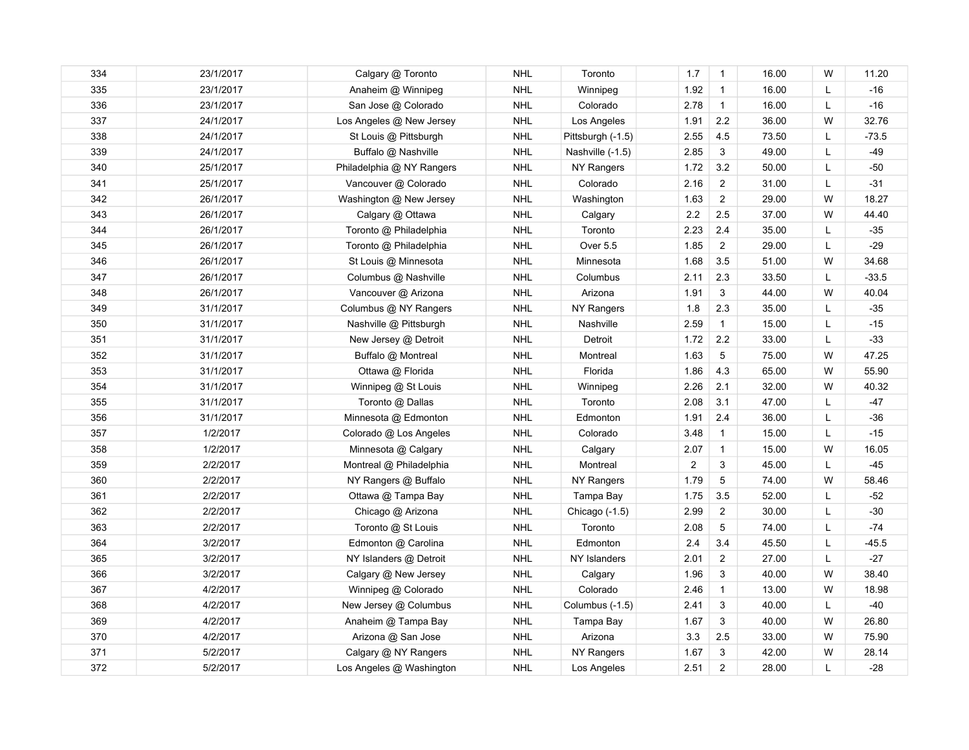| 334 | 23/1/2017 | Calgary @ Toronto         | <b>NHL</b> | Toronto           | 1.7            | $\mathbf{1}$   | 16.00 | W | 11.20   |
|-----|-----------|---------------------------|------------|-------------------|----------------|----------------|-------|---|---------|
| 335 | 23/1/2017 | Anaheim @ Winnipeg        | <b>NHL</b> | Winnipeg          | 1.92           | $\overline{1}$ | 16.00 | L | $-16$   |
| 336 | 23/1/2017 | San Jose @ Colorado       | <b>NHL</b> | Colorado          | 2.78           | $\mathbf{1}$   | 16.00 | L | $-16$   |
| 337 | 24/1/2017 | Los Angeles @ New Jersey  | <b>NHL</b> | Los Angeles       | 1.91           | 2.2            | 36.00 | W | 32.76   |
| 338 | 24/1/2017 | St Louis @ Pittsburgh     | <b>NHL</b> | Pittsburgh (-1.5) | 2.55           | 4.5            | 73.50 | L | -73.5   |
| 339 | 24/1/2017 | Buffalo @ Nashville       | <b>NHL</b> | Nashville (-1.5)  | 2.85           | $\mathbf{3}$   | 49.00 | L | $-49$   |
| 340 | 25/1/2017 | Philadelphia @ NY Rangers | <b>NHL</b> | NY Rangers        | 1.72           | 3.2            | 50.00 | L | $-50$   |
| 341 | 25/1/2017 | Vancouver @ Colorado      | <b>NHL</b> | Colorado          | 2.16           | $\overline{2}$ | 31.00 | L | $-31$   |
| 342 | 26/1/2017 | Washington @ New Jersey   | <b>NHL</b> | Washington        | 1.63           | $\overline{2}$ | 29.00 | W | 18.27   |
| 343 | 26/1/2017 | Calgary @ Ottawa          | <b>NHL</b> | Calgary           | $2.2\,$        | 2.5            | 37.00 | W | 44.40   |
| 344 | 26/1/2017 | Toronto @ Philadelphia    | <b>NHL</b> | Toronto           | 2.23           | 2.4            | 35.00 | L | $-35$   |
| 345 | 26/1/2017 | Toronto @ Philadelphia    | <b>NHL</b> | Over 5.5          | 1.85           | $\overline{2}$ | 29.00 | L | $-29$   |
| 346 | 26/1/2017 | St Louis @ Minnesota      | <b>NHL</b> | Minnesota         | 1.68           | 3.5            | 51.00 | W | 34.68   |
| 347 | 26/1/2017 | Columbus @ Nashville      | <b>NHL</b> | Columbus          | 2.11           | 2.3            | 33.50 | L | $-33.5$ |
| 348 | 26/1/2017 | Vancouver @ Arizona       | <b>NHL</b> | Arizona           | 1.91           | 3              | 44.00 | W | 40.04   |
| 349 | 31/1/2017 | Columbus @ NY Rangers     | <b>NHL</b> | NY Rangers        | 1.8            | 2.3            | 35.00 | L | $-35$   |
| 350 | 31/1/2017 | Nashville @ Pittsburgh    | <b>NHL</b> | Nashville         | 2.59           | $\mathbf{1}$   | 15.00 | L | $-15$   |
| 351 | 31/1/2017 | New Jersey @ Detroit      | <b>NHL</b> | Detroit           | 1.72           | 2.2            | 33.00 | L | $-33$   |
| 352 | 31/1/2017 | Buffalo @ Montreal        | <b>NHL</b> | Montreal          | 1.63           | $\sqrt{5}$     | 75.00 | W | 47.25   |
| 353 | 31/1/2017 | Ottawa @ Florida          | <b>NHL</b> | Florida           | 1.86           | 4.3            | 65.00 | W | 55.90   |
| 354 | 31/1/2017 | Winnipeg @ St Louis       | <b>NHL</b> | Winnipeg          | 2.26           | 2.1            | 32.00 | W | 40.32   |
| 355 | 31/1/2017 | Toronto @ Dallas          | <b>NHL</b> | Toronto           | 2.08           | 3.1            | 47.00 | L | $-47$   |
| 356 | 31/1/2017 | Minnesota @ Edmonton      | <b>NHL</b> | Edmonton          | 1.91           | 2.4            | 36.00 | L | $-36$   |
| 357 | 1/2/2017  | Colorado @ Los Angeles    | <b>NHL</b> | Colorado          | 3.48           | $\mathbf{1}$   | 15.00 | L | $-15$   |
| 358 | 1/2/2017  | Minnesota @ Calgary       | <b>NHL</b> | Calgary           | 2.07           | $\mathbf{1}$   | 15.00 | W | 16.05   |
| 359 | 2/2/2017  | Montreal @ Philadelphia   | <b>NHL</b> | Montreal          | $\overline{2}$ | 3              | 45.00 | L | $-45$   |
| 360 | 2/2/2017  | NY Rangers @ Buffalo      | <b>NHL</b> | NY Rangers        | 1.79           | 5              | 74.00 | W | 58.46   |
| 361 | 2/2/2017  | Ottawa @ Tampa Bay        | <b>NHL</b> | Tampa Bay         | 1.75           | 3.5            | 52.00 | L | $-52$   |
| 362 | 2/2/2017  | Chicago @ Arizona         | <b>NHL</b> | Chicago (-1.5)    | 2.99           | $\overline{c}$ | 30.00 | L | $-30$   |
| 363 | 2/2/2017  | Toronto @ St Louis        | <b>NHL</b> | Toronto           | 2.08           | $\mathbf 5$    | 74.00 | L | $-74$   |
| 364 | 3/2/2017  | Edmonton @ Carolina       | <b>NHL</b> | Edmonton          | 2.4            | 3.4            | 45.50 | L | $-45.5$ |
| 365 | 3/2/2017  | NY Islanders @ Detroit    | <b>NHL</b> | NY Islanders      | 2.01           | $\overline{2}$ | 27.00 | L | $-27$   |
| 366 | 3/2/2017  | Calgary @ New Jersey      | <b>NHL</b> | Calgary           | 1.96           | 3              | 40.00 | W | 38.40   |
| 367 | 4/2/2017  | Winnipeg @ Colorado       | <b>NHL</b> | Colorado          | 2.46           | $\mathbf{1}$   | 13.00 | W | 18.98   |
| 368 | 4/2/2017  | New Jersey @ Columbus     | <b>NHL</b> | Columbus (-1.5)   | 2.41           | 3              | 40.00 | L | $-40$   |
| 369 | 4/2/2017  | Anaheim @ Tampa Bay       | <b>NHL</b> | Tampa Bay         | 1.67           | 3              | 40.00 | W | 26.80   |
| 370 | 4/2/2017  | Arizona @ San Jose        | <b>NHL</b> | Arizona           | 3.3            | 2.5            | 33.00 | W | 75.90   |
| 371 | 5/2/2017  | Calgary @ NY Rangers      | <b>NHL</b> | NY Rangers        | 1.67           | 3              | 42.00 | W | 28.14   |
| 372 | 5/2/2017  | Los Angeles @ Washington  | <b>NHL</b> | Los Angeles       | 2.51           | $\overline{2}$ | 28.00 | Г | $-28$   |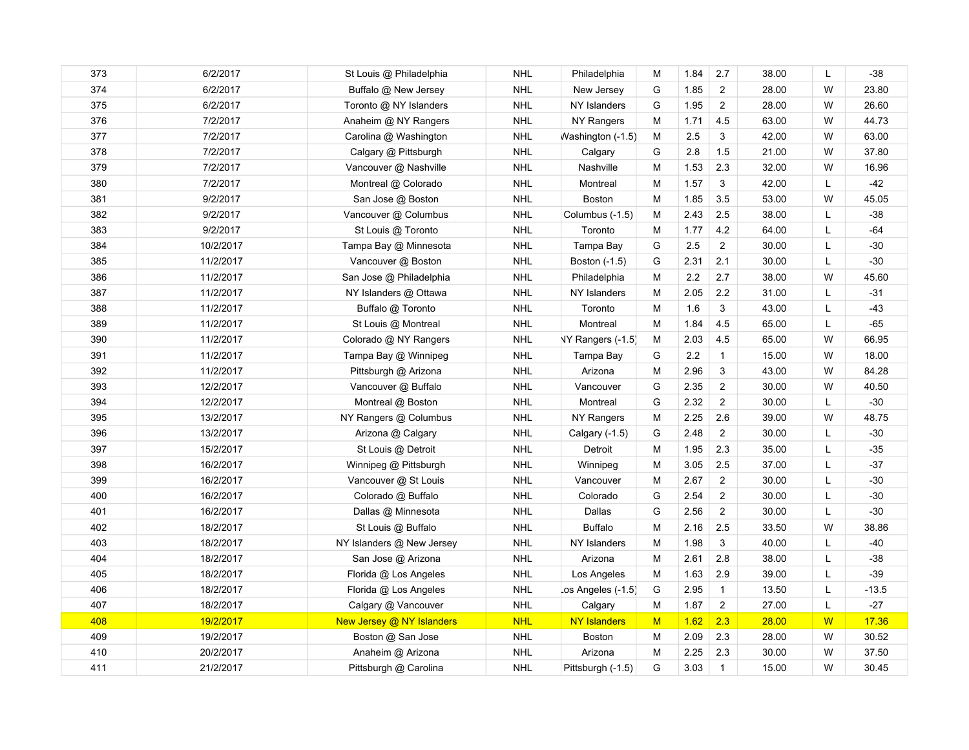| 373 | 6/2/2017  | St Louis @ Philadelphia   | <b>NHL</b> | Philadelphia                  | м | 1.84    | 2.7            | 38.00 | L | $-38$   |
|-----|-----------|---------------------------|------------|-------------------------------|---|---------|----------------|-------|---|---------|
| 374 | 6/2/2017  | Buffalo @ New Jersey      | <b>NHL</b> | New Jersey                    | G | 1.85    | $\overline{2}$ | 28.00 | W | 23.80   |
| 375 | 6/2/2017  | Toronto @ NY Islanders    | <b>NHL</b> | NY Islanders                  | G | 1.95    | $\overline{c}$ | 28.00 | W | 26.60   |
| 376 | 7/2/2017  | Anaheim @ NY Rangers      | <b>NHL</b> | NY Rangers                    | M | 1.71    | 4.5            | 63.00 | W | 44.73   |
| 377 | 7/2/2017  | Carolina @ Washington     | <b>NHL</b> | Washington (-1.5)             | M | 2.5     | 3              | 42.00 | W | 63.00   |
| 378 | 7/2/2017  | Calgary @ Pittsburgh      | <b>NHL</b> | Calgary                       | G | 2.8     | 1.5            | 21.00 | W | 37.80   |
| 379 | 7/2/2017  | Vancouver @ Nashville     | <b>NHL</b> | Nashville                     | M | 1.53    | 2.3            | 32.00 | W | 16.96   |
| 380 | 7/2/2017  | Montreal @ Colorado       | <b>NHL</b> | Montreal                      | M | 1.57    | 3              | 42.00 | L | $-42$   |
| 381 | 9/2/2017  | San Jose @ Boston         | <b>NHL</b> | <b>Boston</b>                 | М | 1.85    | 3.5            | 53.00 | W | 45.05   |
| 382 | 9/2/2017  | Vancouver @ Columbus      | <b>NHL</b> | Columbus (-1.5)               | M | 2.43    | 2.5            | 38.00 | L | $-38$   |
| 383 | 9/2/2017  | St Louis @ Toronto        | <b>NHL</b> | Toronto                       | M | 1.77    | 4.2            | 64.00 | L | $-64$   |
| 384 | 10/2/2017 | Tampa Bay @ Minnesota     | <b>NHL</b> | Tampa Bay                     | G | $2.5\,$ | $\overline{a}$ | 30.00 | L | $-30$   |
| 385 | 11/2/2017 | Vancouver @ Boston        | <b>NHL</b> | Boston (-1.5)                 | G | 2.31    | 2.1            | 30.00 | L | $-30$   |
| 386 | 11/2/2017 | San Jose @ Philadelphia   | <b>NHL</b> | Philadelphia                  | M | 2.2     | 2.7            | 38.00 | W | 45.60   |
| 387 | 11/2/2017 | NY Islanders @ Ottawa     | <b>NHL</b> | NY Islanders                  | M | 2.05    | $2.2\,$        | 31.00 | L | $-31$   |
| 388 | 11/2/2017 | Buffalo @ Toronto         | <b>NHL</b> | Toronto                       | M | 1.6     | 3              | 43.00 | L | $-43$   |
| 389 | 11/2/2017 | St Louis @ Montreal       | <b>NHL</b> | Montreal                      | M | 1.84    | 4.5            | 65.00 | L | $-65$   |
| 390 | 11/2/2017 | Colorado @ NY Rangers     | <b>NHL</b> | NY Rangers (-1.5)             | M | 2.03    | 4.5            | 65.00 | W | 66.95   |
| 391 | 11/2/2017 | Tampa Bay @ Winnipeg      | <b>NHL</b> | Tampa Bay                     | G | 2.2     | $\mathbf{1}$   | 15.00 | W | 18.00   |
| 392 | 11/2/2017 | Pittsburgh @ Arizona      | <b>NHL</b> | Arizona                       | M | 2.96    | 3              | 43.00 | W | 84.28   |
| 393 | 12/2/2017 | Vancouver @ Buffalo       | <b>NHL</b> | Vancouver                     | G | 2.35    | $\overline{c}$ | 30.00 | W | 40.50   |
| 394 | 12/2/2017 | Montreal @ Boston         | <b>NHL</b> | Montreal                      | G | 2.32    | $\overline{2}$ | 30.00 | L | $-30$   |
| 395 | 13/2/2017 | NY Rangers @ Columbus     | <b>NHL</b> | NY Rangers                    | M | 2.25    | 2.6            | 39.00 | W | 48.75   |
| 396 | 13/2/2017 | Arizona @ Calgary         | <b>NHL</b> | Calgary (-1.5)                | G | 2.48    | $\overline{2}$ | 30.00 | L | $-30$   |
| 397 | 15/2/2017 | St Louis @ Detroit        | <b>NHL</b> | Detroit                       | M | 1.95    | 2.3            | 35.00 | L | -35     |
| 398 | 16/2/2017 | Winnipeg @ Pittsburgh     | <b>NHL</b> | Winnipeg                      | M | 3.05    | 2.5            | 37.00 | L | $-37$   |
| 399 | 16/2/2017 | Vancouver @ St Louis      | <b>NHL</b> | Vancouver                     | M | 2.67    | $\overline{2}$ | 30.00 | L | $-30$   |
| 400 | 16/2/2017 | Colorado @ Buffalo        | <b>NHL</b> | Colorado                      | G | 2.54    | $\overline{2}$ | 30.00 | L | $-30$   |
| 401 | 16/2/2017 | Dallas @ Minnesota        | <b>NHL</b> | Dallas                        | G | 2.56    | $\overline{2}$ | 30.00 | L | $-30$   |
| 402 | 18/2/2017 | St Louis @ Buffalo        | <b>NHL</b> | <b>Buffalo</b>                | M | 2.16    | 2.5            | 33.50 | W | 38.86   |
| 403 | 18/2/2017 | NY Islanders @ New Jersey | <b>NHL</b> | NY Islanders                  | M | 1.98    | 3              | 40.00 | L | $-40$   |
| 404 | 18/2/2017 | San Jose @ Arizona        | <b>NHL</b> | Arizona                       | M | 2.61    | 2.8            | 38.00 | L | $-38$   |
| 405 | 18/2/2017 | Florida @ Los Angeles     | <b>NHL</b> | Los Angeles                   | М | 1.63    | 2.9            | 39.00 | L | $-39$   |
| 406 | 18/2/2017 | Florida @ Los Angeles     | <b>NHL</b> | $\textsf{cos}$ Angeles (-1.5) | G | 2.95    | $\mathbf{1}$   | 13.50 | L | $-13.5$ |
| 407 | 18/2/2017 | Calgary @ Vancouver       | <b>NHL</b> | Calgary                       | M | 1.87    | $\overline{a}$ | 27.00 | L | $-27$   |
| 408 | 19/2/2017 | New Jersey @ NY Islanders | <b>NHL</b> | <b>NY Islanders</b>           | M | 1.62    | 2.3            | 28.00 | W | 17.36   |
| 409 | 19/2/2017 | Boston @ San Jose         | <b>NHL</b> | <b>Boston</b>                 | M | 2.09    | 2.3            | 28.00 | W | 30.52   |
| 410 | 20/2/2017 | Anaheim @ Arizona         | <b>NHL</b> | Arizona                       | M | 2.25    | 2.3            | 30.00 | W | 37.50   |
| 411 | 21/2/2017 | Pittsburgh @ Carolina     | <b>NHL</b> | Pittsburgh (-1.5)             | G | 3.03    | $\mathbf{1}$   | 15.00 | W | 30.45   |
|     |           |                           |            |                               |   |         |                |       |   |         |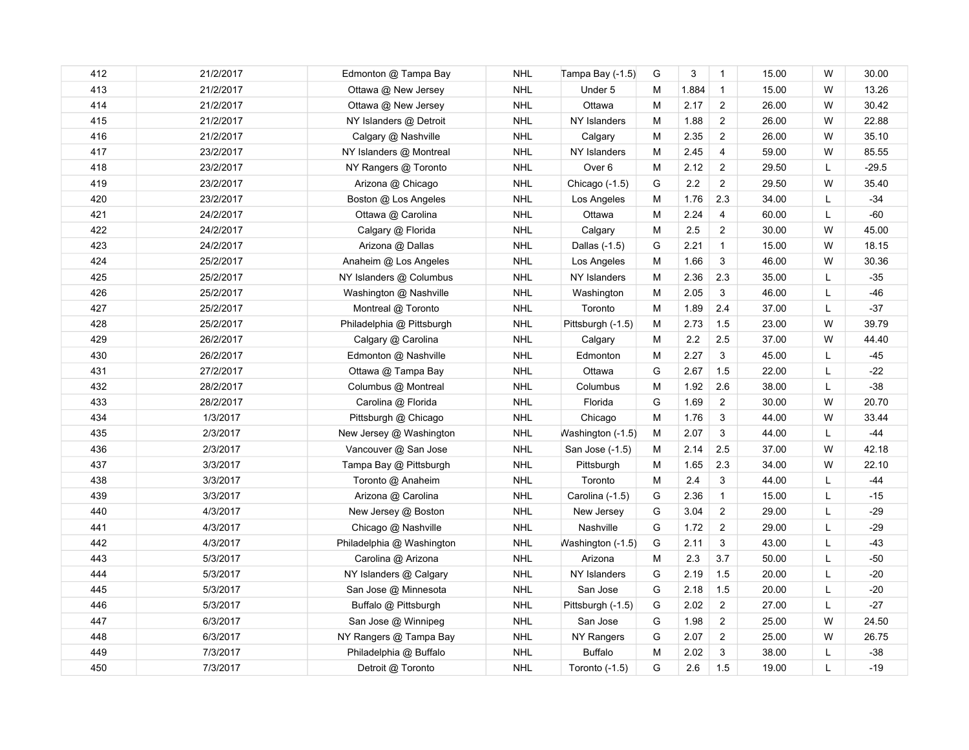| 412<br>413 | 21/2/2017<br>21/2/2017<br>21/2/2017 | Edmonton @ Tampa Bay<br>Ottawa @ New Jersey | <b>NHL</b><br><b>NHL</b> | Tampa Bay (-1.5)  | G         | 3       | $\mathbf{1}$            | 15.00 | W | 30.00   |
|------------|-------------------------------------|---------------------------------------------|--------------------------|-------------------|-----------|---------|-------------------------|-------|---|---------|
|            |                                     |                                             |                          |                   |           |         |                         |       |   |         |
|            |                                     |                                             |                          | Under 5           | M         | 1.884   | $\overline{1}$          | 15.00 | W | 13.26   |
| 414        |                                     | Ottawa @ New Jersey                         | <b>NHL</b>               | Ottawa            | M         | 2.17    | $\overline{c}$          | 26.00 | W | 30.42   |
| 415        | 21/2/2017                           | NY Islanders @ Detroit                      | <b>NHL</b>               | NY Islanders      | М         | 1.88    | $\overline{\mathbf{c}}$ | 26.00 | W | 22.88   |
| 416        | 21/2/2017                           | Calgary @ Nashville                         | <b>NHL</b>               | Calgary           | M         | 2.35    | $\overline{c}$          | 26.00 | W | 35.10   |
| 417        | 23/2/2017                           | NY Islanders @ Montreal                     | <b>NHL</b>               | NY Islanders      | M         | 2.45    | $\overline{4}$          | 59.00 | W | 85.55   |
| 418        | 23/2/2017                           | NY Rangers @ Toronto                        | <b>NHL</b>               | Over <sub>6</sub> | M         | 2.12    | $\overline{2}$          | 29.50 | L | $-29.5$ |
| 419        | 23/2/2017                           | Arizona @ Chicago                           | <b>NHL</b>               | Chicago $(-1.5)$  | G         | $2.2\,$ | $\overline{c}$          | 29.50 | W | 35.40   |
| 420        | 23/2/2017                           | Boston @ Los Angeles                        | <b>NHL</b>               | Los Angeles       | М         | 1.76    | 2.3                     | 34.00 | L | $-34$   |
| 421        | 24/2/2017                           | Ottawa @ Carolina                           | <b>NHL</b>               | Ottawa            | м         | 2.24    | $\overline{4}$          | 60.00 | L | $-60$   |
| 422        | 24/2/2017                           | Calgary @ Florida                           | <b>NHL</b>               | Calgary           | M         | 2.5     | $\overline{c}$          | 30.00 | W | 45.00   |
| 423        | 24/2/2017                           | Arizona @ Dallas                            | <b>NHL</b>               | Dallas (-1.5)     | G         | 2.21    | $\mathbf{1}$            | 15.00 | W | 18.15   |
| 424        | 25/2/2017                           | Anaheim @ Los Angeles                       | <b>NHL</b>               | Los Angeles       | M         | 1.66    | 3                       | 46.00 | W | 30.36   |
| 425        | 25/2/2017                           | NY Islanders @ Columbus                     | <b>NHL</b>               | NY Islanders      | M         | 2.36    | 2.3                     | 35.00 | L | $-35$   |
| 426        | 25/2/2017                           | Washington @ Nashville                      | <b>NHL</b>               | Washington        | M         | 2.05    | 3                       | 46.00 | L | $-46$   |
| 427        | 25/2/2017                           | Montreal @ Toronto                          | <b>NHL</b>               | Toronto           | М         | 1.89    | 2.4                     | 37.00 | L | $-37$   |
| 428        | 25/2/2017                           | Philadelphia @ Pittsburgh                   | <b>NHL</b>               | Pittsburgh (-1.5) | M         | 2.73    | 1.5                     | 23.00 | W | 39.79   |
| 429        | 26/2/2017                           | Calgary @ Carolina                          | <b>NHL</b>               | Calgary           | M         | $2.2\,$ | 2.5                     | 37.00 | W | 44.40   |
| 430        | 26/2/2017                           | Edmonton @ Nashville                        | <b>NHL</b>               | Edmonton          | ${\sf M}$ | 2.27    | 3                       | 45.00 | L | $-45$   |
| 431        | 27/2/2017                           | Ottawa @ Tampa Bay                          | <b>NHL</b>               | Ottawa            | G         | 2.67    | 1.5                     | 22.00 | L | $-22$   |
| 432        | 28/2/2017                           | Columbus @ Montreal                         | <b>NHL</b>               | Columbus          | М         | 1.92    | 2.6                     | 38.00 | L | $-38$   |
| 433        | 28/2/2017                           | Carolina @ Florida                          | <b>NHL</b>               | Florida           | G         | 1.69    | $\overline{2}$          | 30.00 | W | 20.70   |
| 434        | 1/3/2017                            | Pittsburgh @ Chicago                        | <b>NHL</b>               | Chicago           | M         | 1.76    | 3                       | 44.00 | W | 33.44   |
| 435        | 2/3/2017                            | New Jersey @ Washington                     | <b>NHL</b>               | Washington (-1.5) | M         | 2.07    | 3                       | 44.00 | L | $-44$   |
| 436        | 2/3/2017                            | Vancouver @ San Jose                        | <b>NHL</b>               | San Jose (-1.5)   | M         | 2.14    | 2.5                     | 37.00 | W | 42.18   |
| 437        | 3/3/2017                            | Tampa Bay @ Pittsburgh                      | <b>NHL</b>               | Pittsburgh        | M         | 1.65    | 2.3                     | 34.00 | W | 22.10   |
| 438        | 3/3/2017                            | Toronto @ Anaheim                           | <b>NHL</b>               | Toronto           | M         | 2.4     | 3                       | 44.00 | L | $-44$   |
| 439        | 3/3/2017                            | Arizona @ Carolina                          | <b>NHL</b>               | Carolina (-1.5)   | G         | 2.36    | $\mathbf{1}$            | 15.00 | L | $-15$   |
| 440        | 4/3/2017                            | New Jersey @ Boston                         | <b>NHL</b>               | New Jersey        | G         | 3.04    | $\overline{\mathbf{c}}$ | 29.00 | L | $-29$   |
| 441        | 4/3/2017                            | Chicago @ Nashville                         | <b>NHL</b>               | Nashville         | G         | 1.72    | $\overline{c}$          | 29.00 | L | $-29$   |
| 442        | 4/3/2017                            | Philadelphia @ Washington                   | <b>NHL</b>               | Washington (-1.5) | G         | 2.11    | 3                       | 43.00 | Г | $-43$   |
| 443        | 5/3/2017                            | Carolina @ Arizona                          | <b>NHL</b>               | Arizona           | M         | 2.3     | 3.7                     | 50.00 | L | $-50$   |
| 444        | 5/3/2017                            | NY Islanders @ Calgary                      | <b>NHL</b>               | NY Islanders      | G         | 2.19    | 1.5                     | 20.00 | L | $-20$   |
| 445        | 5/3/2017                            | San Jose @ Minnesota                        | <b>NHL</b>               | San Jose          | G         | 2.18    | 1.5                     | 20.00 | L | $-20$   |
| 446        | 5/3/2017                            | Buffalo @ Pittsburgh                        | <b>NHL</b>               | Pittsburgh (-1.5) | G         | 2.02    | $\overline{2}$          | 27.00 | L | $-27$   |
| 447        | 6/3/2017                            | San Jose @ Winnipeg                         | <b>NHL</b>               | San Jose          | G         | 1.98    | $\overline{c}$          | 25.00 | W | 24.50   |
| 448        | 6/3/2017                            | NY Rangers @ Tampa Bay                      | <b>NHL</b>               | NY Rangers        | G         | 2.07    | $\overline{2}$          | 25.00 | W | 26.75   |
| 449        | 7/3/2017                            | Philadelphia @ Buffalo                      | <b>NHL</b>               | <b>Buffalo</b>    | M         | 2.02    | 3                       | 38.00 | L | $-38$   |
| 450        | 7/3/2017                            | Detroit @ Toronto                           | <b>NHL</b>               | Toronto $(-1.5)$  | G         | 2.6     | 1.5                     | 19.00 | L | $-19$   |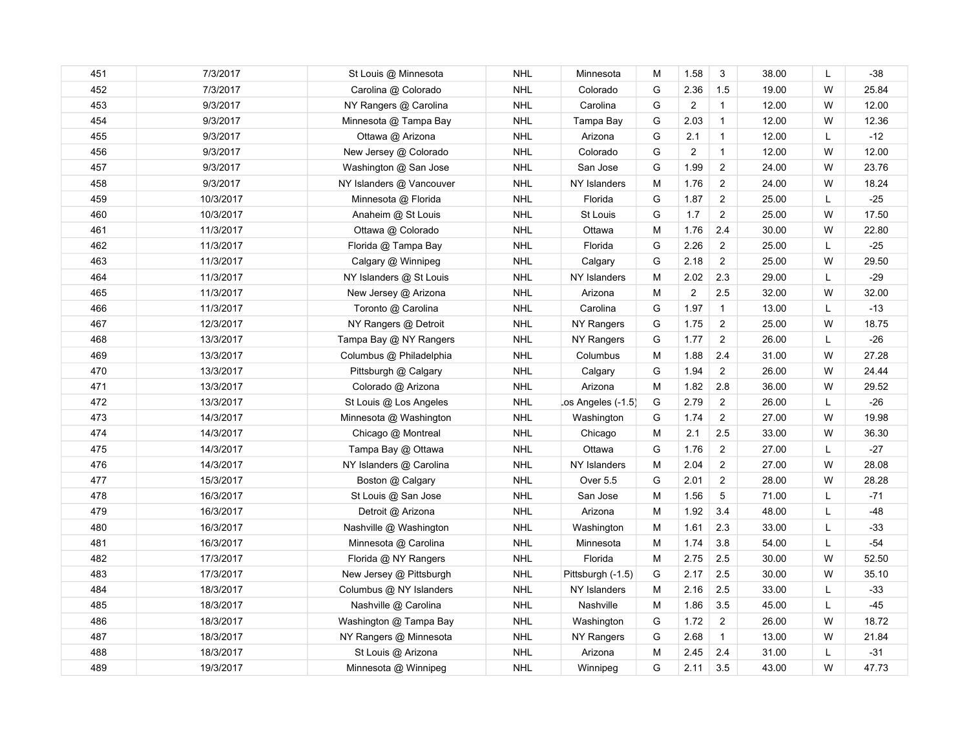| 451 | 7/3/2017  | St Louis @ Minnesota     | <b>NHL</b> | Minnesota                     | м | 1.58                    | 3                | 38.00 | L | $-38$ |
|-----|-----------|--------------------------|------------|-------------------------------|---|-------------------------|------------------|-------|---|-------|
| 452 | 7/3/2017  | Carolina @ Colorado      | <b>NHL</b> | Colorado                      | G | 2.36                    | 1.5              | 19.00 | W | 25.84 |
| 453 | 9/3/2017  | NY Rangers @ Carolina    | <b>NHL</b> | Carolina                      | G | $\overline{2}$          | $\mathbf{1}$     | 12.00 | W | 12.00 |
| 454 | 9/3/2017  | Minnesota @ Tampa Bay    | <b>NHL</b> | Tampa Bay                     | G | 2.03                    | $\mathbf{1}$     | 12.00 | W | 12.36 |
| 455 | 9/3/2017  | Ottawa @ Arizona         | <b>NHL</b> | Arizona                       | G | 2.1                     | $\mathbf{1}$     | 12.00 | L | $-12$ |
| 456 | 9/3/2017  | New Jersey @ Colorado    | <b>NHL</b> | Colorado                      | G | $\boldsymbol{2}$        | $\mathbf{1}$     | 12.00 | W | 12.00 |
| 457 | 9/3/2017  | Washington @ San Jose    | <b>NHL</b> | San Jose                      | G | 1.99                    | $\overline{2}$   | 24.00 | W | 23.76 |
| 458 | 9/3/2017  | NY Islanders @ Vancouver | <b>NHL</b> | NY Islanders                  | M | 1.76                    | $\overline{2}$   | 24.00 | W | 18.24 |
| 459 | 10/3/2017 | Minnesota @ Florida      | <b>NHL</b> | Florida                       | G | 1.87                    | $\overline{2}$   | 25.00 | L | $-25$ |
| 460 | 10/3/2017 | Anaheim @ St Louis       | <b>NHL</b> | St Louis                      | G | 1.7                     | $\boldsymbol{2}$ | 25.00 | W | 17.50 |
| 461 | 11/3/2017 | Ottawa @ Colorado        | <b>NHL</b> | Ottawa                        | M | 1.76                    | 2.4              | 30.00 | W | 22.80 |
| 462 | 11/3/2017 | Florida @ Tampa Bay      | <b>NHL</b> | Florida                       | G | 2.26                    | $\overline{c}$   | 25.00 | L | $-25$ |
| 463 | 11/3/2017 | Calgary @ Winnipeg       | <b>NHL</b> | Calgary                       | G | 2.18                    | $\overline{2}$   | 25.00 | W | 29.50 |
| 464 | 11/3/2017 | NY Islanders @ St Louis  | <b>NHL</b> | NY Islanders                  | M | 2.02                    | 2.3              | 29.00 | L | $-29$ |
| 465 | 11/3/2017 | New Jersey @ Arizona     | <b>NHL</b> | Arizona                       | М | $\overline{\mathbf{c}}$ | 2.5              | 32.00 | W | 32.00 |
| 466 | 11/3/2017 | Toronto @ Carolina       | <b>NHL</b> | Carolina                      | G | 1.97                    | $\mathbf{1}$     | 13.00 | L | $-13$ |
| 467 | 12/3/2017 | NY Rangers @ Detroit     | <b>NHL</b> | NY Rangers                    | G | 1.75                    | $\overline{2}$   | 25.00 | W | 18.75 |
| 468 | 13/3/2017 | Tampa Bay @ NY Rangers   | <b>NHL</b> | NY Rangers                    | G | 1.77                    | $\overline{c}$   | 26.00 | L | $-26$ |
| 469 | 13/3/2017 | Columbus @ Philadelphia  | <b>NHL</b> | Columbus                      | M | 1.88                    | 2.4              | 31.00 | W | 27.28 |
| 470 | 13/3/2017 | Pittsburgh @ Calgary     | <b>NHL</b> | Calgary                       | G | 1.94                    | $\overline{c}$   | 26.00 | W | 24.44 |
| 471 | 13/3/2017 | Colorado @ Arizona       | <b>NHL</b> | Arizona                       | M | 1.82                    | 2.8              | 36.00 | W | 29.52 |
| 472 | 13/3/2017 | St Louis @ Los Angeles   | <b>NHL</b> | $\textsf{cos}$ Angeles (-1.5) | G | 2.79                    | $\overline{c}$   | 26.00 | L | $-26$ |
| 473 | 14/3/2017 | Minnesota @ Washington   | <b>NHL</b> | Washington                    | G | 1.74                    | $\overline{c}$   | 27.00 | W | 19.98 |
| 474 | 14/3/2017 | Chicago @ Montreal       | <b>NHL</b> | Chicago                       | M | 2.1                     | 2.5              | 33.00 | W | 36.30 |
| 475 | 14/3/2017 | Tampa Bay @ Ottawa       | <b>NHL</b> | Ottawa                        | G | 1.76                    | $\overline{2}$   | 27.00 | L | $-27$ |
| 476 | 14/3/2017 | NY Islanders @ Carolina  | <b>NHL</b> | NY Islanders                  | M | 2.04                    | $\overline{2}$   | 27.00 | W | 28.08 |
| 477 | 15/3/2017 | Boston @ Calgary         | <b>NHL</b> | Over 5.5                      | G | 2.01                    | $\overline{2}$   | 28.00 | W | 28.28 |
| 478 | 16/3/2017 | St Louis @ San Jose      | <b>NHL</b> | San Jose                      | M | 1.56                    | 5                | 71.00 | L | $-71$ |
| 479 | 16/3/2017 | Detroit @ Arizona        | <b>NHL</b> | Arizona                       | M | 1.92                    | 3.4              | 48.00 | L | $-48$ |
| 480 | 16/3/2017 | Nashville @ Washington   | <b>NHL</b> | Washington                    | M | 1.61                    | 2.3              | 33.00 | L | $-33$ |
| 481 | 16/3/2017 | Minnesota @ Carolina     | <b>NHL</b> | Minnesota                     | М | 1.74                    | 3.8              | 54.00 | L | $-54$ |
| 482 | 17/3/2017 | Florida @ NY Rangers     | <b>NHL</b> | Florida                       | M | 2.75                    | 2.5              | 30.00 | W | 52.50 |
| 483 | 17/3/2017 | New Jersey @ Pittsburgh  | <b>NHL</b> | Pittsburgh (-1.5)             | G | 2.17                    | 2.5              | 30.00 | W | 35.10 |
| 484 | 18/3/2017 | Columbus @ NY Islanders  | <b>NHL</b> | NY Islanders                  | M | 2.16                    | 2.5              | 33.00 | L | $-33$ |
| 485 | 18/3/2017 | Nashville @ Carolina     | <b>NHL</b> | Nashville                     | M | 1.86                    | 3.5              | 45.00 | L | $-45$ |
| 486 | 18/3/2017 | Washington @ Tampa Bay   | <b>NHL</b> | Washington                    | G | 1.72                    | $\overline{c}$   | 26.00 | W | 18.72 |
| 487 | 18/3/2017 | NY Rangers @ Minnesota   | <b>NHL</b> | NY Rangers                    | G | 2.68                    | $\mathbf{1}$     | 13.00 | W | 21.84 |
| 488 | 18/3/2017 | St Louis @ Arizona       | <b>NHL</b> | Arizona                       | M | 2.45                    | 2.4              | 31.00 | L | $-31$ |
| 489 | 19/3/2017 | Minnesota @ Winnipeg     | <b>NHL</b> | Winnipeg                      | G | 2.11                    | 3.5              | 43.00 | W | 47.73 |